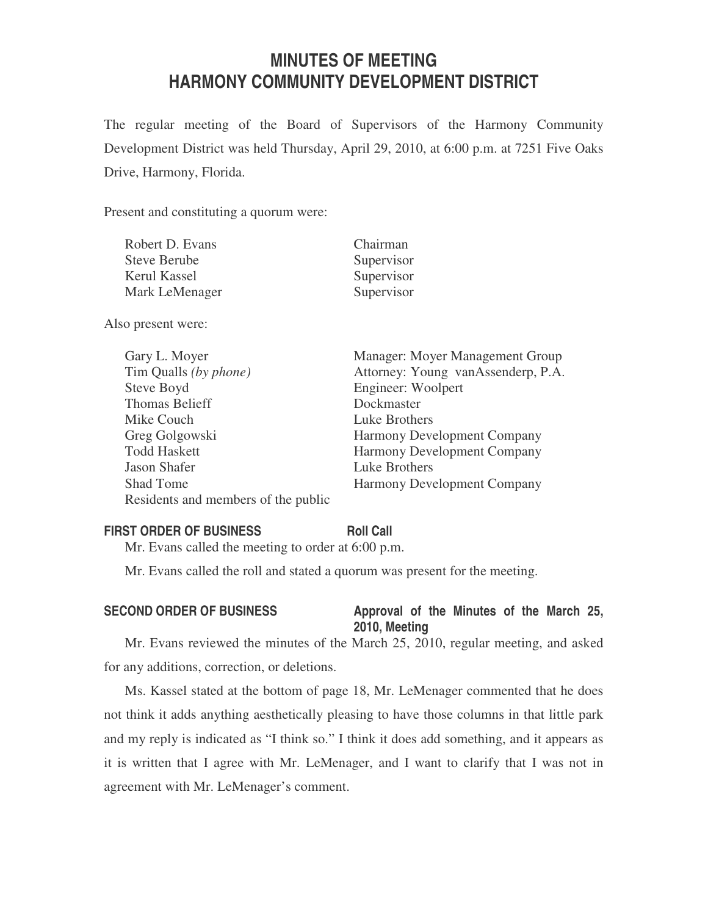# **MINUTES OF MEETING HARMONY COMMUNITY DEVELOPMENT DISTRICT**

The regular meeting of the Board of Supervisors of the Harmony Community Development District was held Thursday, April 29, 2010, at 6:00 p.m. at 7251 Five Oaks Drive, Harmony, Florida.

Present and constituting a quorum were:

| Robert D. Evans     | Chairman   |
|---------------------|------------|
| <b>Steve Berube</b> | Supervisor |
| Kerul Kassel        | Supervisor |
| Mark LeMenager      | Supervisor |
|                     |            |

Also present were:

| Gary L. Moyer                       | Manager: Moyer Management Group    |
|-------------------------------------|------------------------------------|
| Tim Qualls (by phone)               | Attorney: Young vanAssenderp, P.A. |
| Steve Boyd                          | Engineer: Woolpert                 |
| <b>Thomas Belieff</b>               | Dockmaster                         |
| Mike Couch                          | Luke Brothers                      |
| Greg Golgowski                      | Harmony Development Company        |
| <b>Todd Haskett</b>                 | <b>Harmony Development Company</b> |
| Jason Shafer                        | Luke Brothers                      |
| <b>Shad Tome</b>                    | Harmony Development Company        |
| Residents and members of the public |                                    |

### **FIRST ORDER OF BUSINESS Roll Call**

Mr. Evans called the meeting to order at 6:00 p.m.

Mr. Evans called the roll and stated a quorum was present for the meeting.

# SECOND ORDER OF BUSINESS Approval of the Minutes of the March 25, **2010, Meeting**

Mr. Evans reviewed the minutes of the March 25, 2010, regular meeting, and asked for any additions, correction, or deletions.

Ms. Kassel stated at the bottom of page 18, Mr. LeMenager commented that he does not think it adds anything aesthetically pleasing to have those columns in that little park and my reply is indicated as "I think so." I think it does add something, and it appears as it is written that I agree with Mr. LeMenager, and I want to clarify that I was not in agreement with Mr. LeMenager's comment.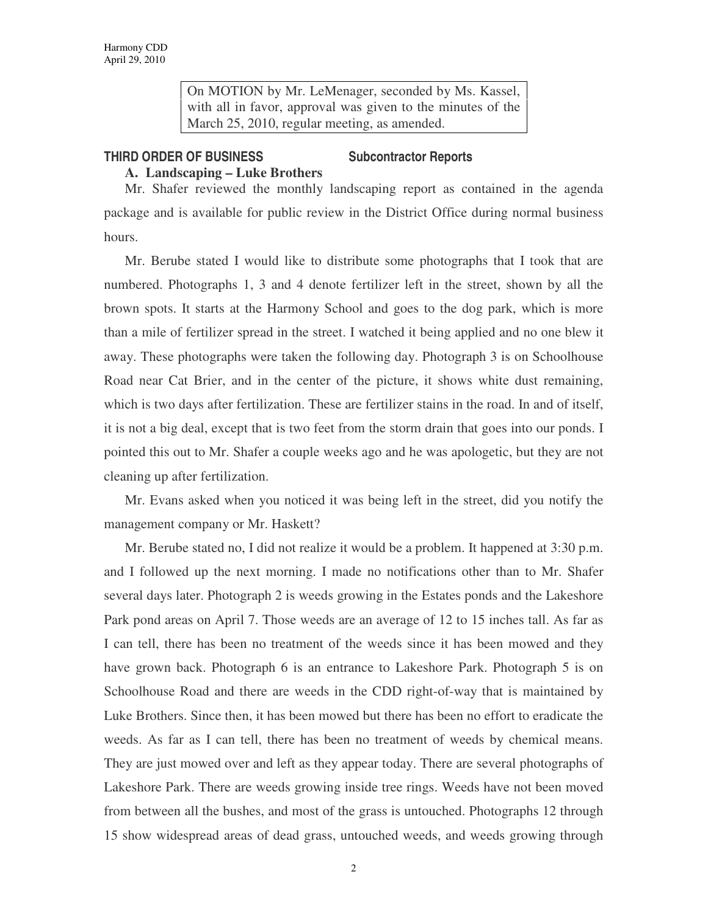On MOTION by Mr. LeMenager, seconded by Ms. Kassel, with all in favor, approval was given to the minutes of the March 25, 2010, regular meeting, as amended.

### **THIRD ORDER OF BUSINESS Subcontractor Reports**

## **A. Landscaping – Luke Brothers**

Mr. Shafer reviewed the monthly landscaping report as contained in the agenda package and is available for public review in the District Office during normal business hours.

Mr. Berube stated I would like to distribute some photographs that I took that are numbered. Photographs 1, 3 and 4 denote fertilizer left in the street, shown by all the brown spots. It starts at the Harmony School and goes to the dog park, which is more than a mile of fertilizer spread in the street. I watched it being applied and no one blew it away. These photographs were taken the following day. Photograph 3 is on Schoolhouse Road near Cat Brier, and in the center of the picture, it shows white dust remaining, which is two days after fertilization. These are fertilizer stains in the road. In and of itself, it is not a big deal, except that is two feet from the storm drain that goes into our ponds. I pointed this out to Mr. Shafer a couple weeks ago and he was apologetic, but they are not cleaning up after fertilization.

Mr. Evans asked when you noticed it was being left in the street, did you notify the management company or Mr. Haskett?

Mr. Berube stated no, I did not realize it would be a problem. It happened at 3:30 p.m. and I followed up the next morning. I made no notifications other than to Mr. Shafer several days later. Photograph 2 is weeds growing in the Estates ponds and the Lakeshore Park pond areas on April 7. Those weeds are an average of 12 to 15 inches tall. As far as I can tell, there has been no treatment of the weeds since it has been mowed and they have grown back. Photograph 6 is an entrance to Lakeshore Park. Photograph 5 is on Schoolhouse Road and there are weeds in the CDD right-of-way that is maintained by Luke Brothers. Since then, it has been mowed but there has been no effort to eradicate the weeds. As far as I can tell, there has been no treatment of weeds by chemical means. They are just mowed over and left as they appear today. There are several photographs of Lakeshore Park. There are weeds growing inside tree rings. Weeds have not been moved from between all the bushes, and most of the grass is untouched. Photographs 12 through 15 show widespread areas of dead grass, untouched weeds, and weeds growing through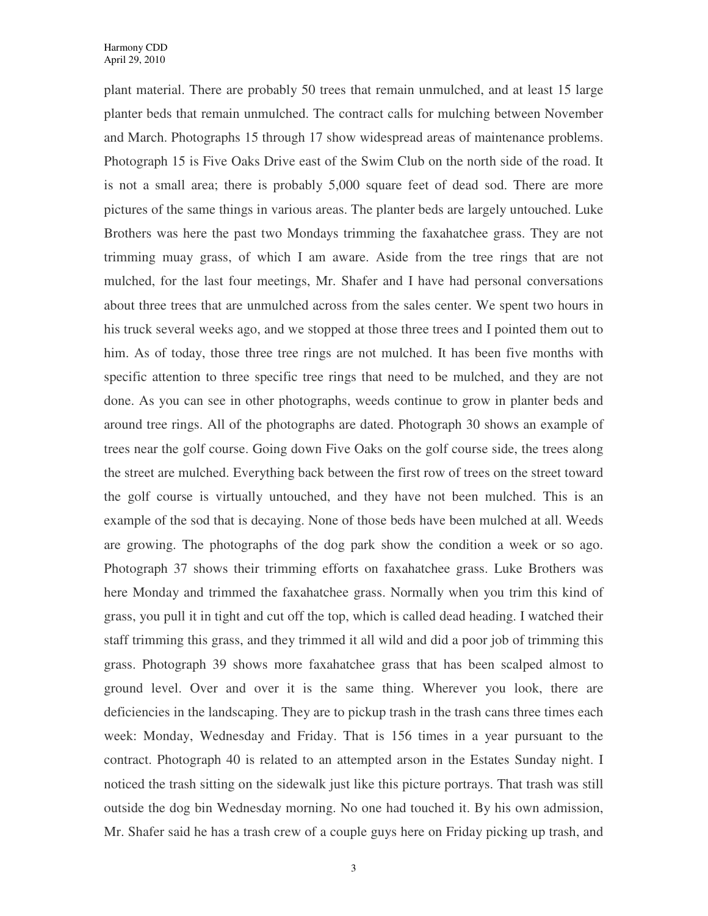plant material. There are probably 50 trees that remain unmulched, and at least 15 large planter beds that remain unmulched. The contract calls for mulching between November and March. Photographs 15 through 17 show widespread areas of maintenance problems. Photograph 15 is Five Oaks Drive east of the Swim Club on the north side of the road. It is not a small area; there is probably 5,000 square feet of dead sod. There are more pictures of the same things in various areas. The planter beds are largely untouched. Luke Brothers was here the past two Mondays trimming the faxahatchee grass. They are not trimming muay grass, of which I am aware. Aside from the tree rings that are not mulched, for the last four meetings, Mr. Shafer and I have had personal conversations about three trees that are unmulched across from the sales center. We spent two hours in his truck several weeks ago, and we stopped at those three trees and I pointed them out to him. As of today, those three tree rings are not mulched. It has been five months with specific attention to three specific tree rings that need to be mulched, and they are not done. As you can see in other photographs, weeds continue to grow in planter beds and around tree rings. All of the photographs are dated. Photograph 30 shows an example of trees near the golf course. Going down Five Oaks on the golf course side, the trees along the street are mulched. Everything back between the first row of trees on the street toward the golf course is virtually untouched, and they have not been mulched. This is an example of the sod that is decaying. None of those beds have been mulched at all. Weeds are growing. The photographs of the dog park show the condition a week or so ago. Photograph 37 shows their trimming efforts on faxahatchee grass. Luke Brothers was here Monday and trimmed the faxahatchee grass. Normally when you trim this kind of grass, you pull it in tight and cut off the top, which is called dead heading. I watched their staff trimming this grass, and they trimmed it all wild and did a poor job of trimming this grass. Photograph 39 shows more faxahatchee grass that has been scalped almost to ground level. Over and over it is the same thing. Wherever you look, there are deficiencies in the landscaping. They are to pickup trash in the trash cans three times each week: Monday, Wednesday and Friday. That is 156 times in a year pursuant to the contract. Photograph 40 is related to an attempted arson in the Estates Sunday night. I noticed the trash sitting on the sidewalk just like this picture portrays. That trash was still outside the dog bin Wednesday morning. No one had touched it. By his own admission, Mr. Shafer said he has a trash crew of a couple guys here on Friday picking up trash, and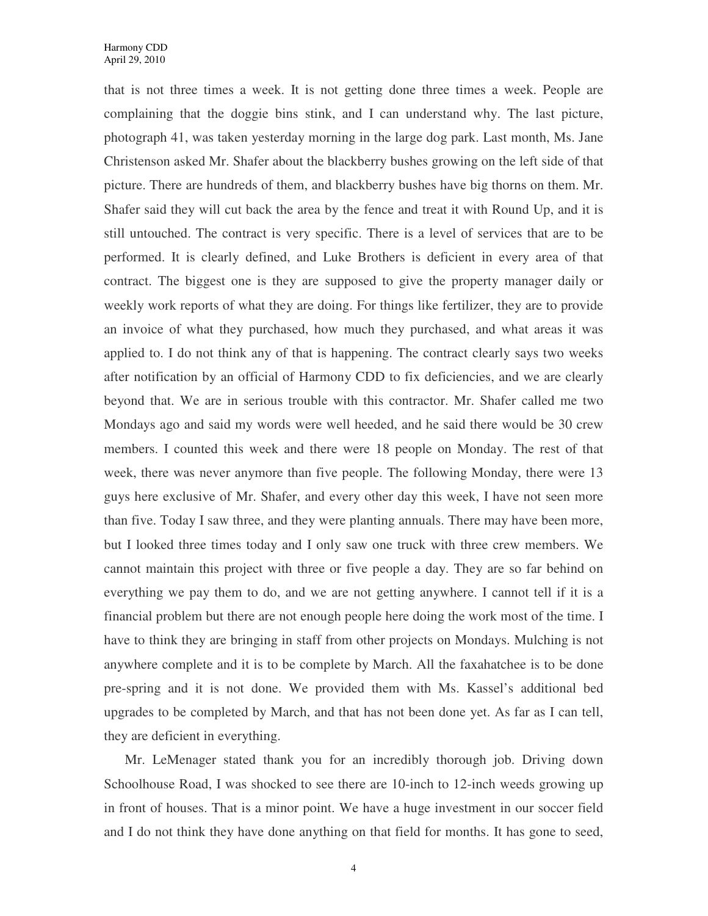that is not three times a week. It is not getting done three times a week. People are complaining that the doggie bins stink, and I can understand why. The last picture, photograph 41, was taken yesterday morning in the large dog park. Last month, Ms. Jane Christenson asked Mr. Shafer about the blackberry bushes growing on the left side of that picture. There are hundreds of them, and blackberry bushes have big thorns on them. Mr. Shafer said they will cut back the area by the fence and treat it with Round Up, and it is still untouched. The contract is very specific. There is a level of services that are to be performed. It is clearly defined, and Luke Brothers is deficient in every area of that contract. The biggest one is they are supposed to give the property manager daily or weekly work reports of what they are doing. For things like fertilizer, they are to provide an invoice of what they purchased, how much they purchased, and what areas it was applied to. I do not think any of that is happening. The contract clearly says two weeks after notification by an official of Harmony CDD to fix deficiencies, and we are clearly beyond that. We are in serious trouble with this contractor. Mr. Shafer called me two Mondays ago and said my words were well heeded, and he said there would be 30 crew members. I counted this week and there were 18 people on Monday. The rest of that week, there was never anymore than five people. The following Monday, there were 13 guys here exclusive of Mr. Shafer, and every other day this week, I have not seen more than five. Today I saw three, and they were planting annuals. There may have been more, but I looked three times today and I only saw one truck with three crew members. We cannot maintain this project with three or five people a day. They are so far behind on everything we pay them to do, and we are not getting anywhere. I cannot tell if it is a financial problem but there are not enough people here doing the work most of the time. I have to think they are bringing in staff from other projects on Mondays. Mulching is not anywhere complete and it is to be complete by March. All the faxahatchee is to be done pre-spring and it is not done. We provided them with Ms. Kassel's additional bed upgrades to be completed by March, and that has not been done yet. As far as I can tell, they are deficient in everything.

Mr. LeMenager stated thank you for an incredibly thorough job. Driving down Schoolhouse Road, I was shocked to see there are 10-inch to 12-inch weeds growing up in front of houses. That is a minor point. We have a huge investment in our soccer field and I do not think they have done anything on that field for months. It has gone to seed,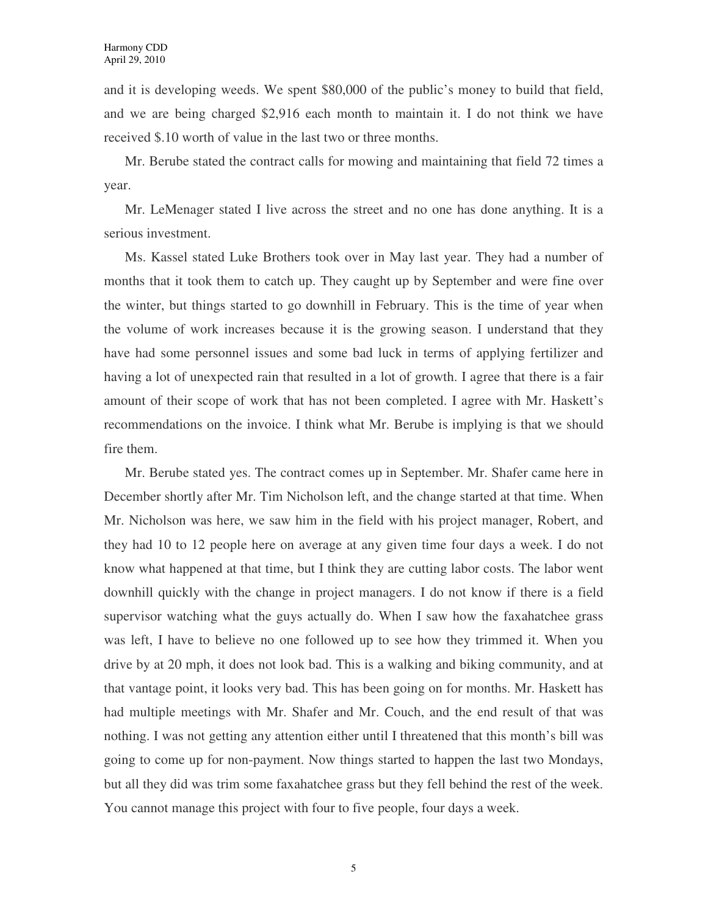and it is developing weeds. We spent \$80,000 of the public's money to build that field, and we are being charged \$2,916 each month to maintain it. I do not think we have received \$.10 worth of value in the last two or three months.

Mr. Berube stated the contract calls for mowing and maintaining that field 72 times a year.

Mr. LeMenager stated I live across the street and no one has done anything. It is a serious investment.

Ms. Kassel stated Luke Brothers took over in May last year. They had a number of months that it took them to catch up. They caught up by September and were fine over the winter, but things started to go downhill in February. This is the time of year when the volume of work increases because it is the growing season. I understand that they have had some personnel issues and some bad luck in terms of applying fertilizer and having a lot of unexpected rain that resulted in a lot of growth. I agree that there is a fair amount of their scope of work that has not been completed. I agree with Mr. Haskett's recommendations on the invoice. I think what Mr. Berube is implying is that we should fire them.

Mr. Berube stated yes. The contract comes up in September. Mr. Shafer came here in December shortly after Mr. Tim Nicholson left, and the change started at that time. When Mr. Nicholson was here, we saw him in the field with his project manager, Robert, and they had 10 to 12 people here on average at any given time four days a week. I do not know what happened at that time, but I think they are cutting labor costs. The labor went downhill quickly with the change in project managers. I do not know if there is a field supervisor watching what the guys actually do. When I saw how the faxahatchee grass was left, I have to believe no one followed up to see how they trimmed it. When you drive by at 20 mph, it does not look bad. This is a walking and biking community, and at that vantage point, it looks very bad. This has been going on for months. Mr. Haskett has had multiple meetings with Mr. Shafer and Mr. Couch, and the end result of that was nothing. I was not getting any attention either until I threatened that this month's bill was going to come up for non-payment. Now things started to happen the last two Mondays, but all they did was trim some faxahatchee grass but they fell behind the rest of the week. You cannot manage this project with four to five people, four days a week.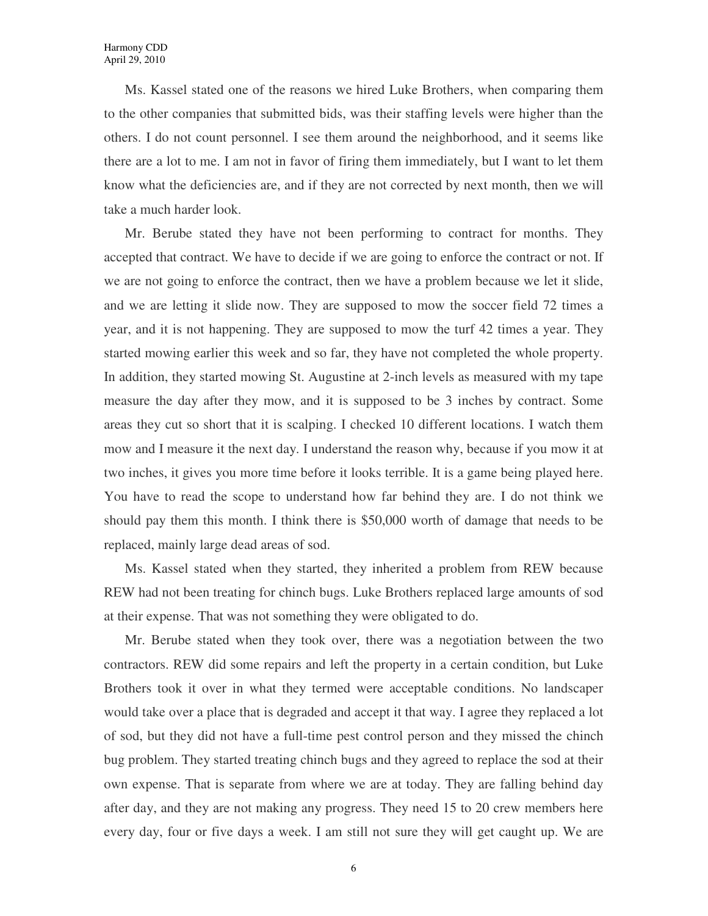Ms. Kassel stated one of the reasons we hired Luke Brothers, when comparing them to the other companies that submitted bids, was their staffing levels were higher than the others. I do not count personnel. I see them around the neighborhood, and it seems like there are a lot to me. I am not in favor of firing them immediately, but I want to let them know what the deficiencies are, and if they are not corrected by next month, then we will take a much harder look.

Mr. Berube stated they have not been performing to contract for months. They accepted that contract. We have to decide if we are going to enforce the contract or not. If we are not going to enforce the contract, then we have a problem because we let it slide, and we are letting it slide now. They are supposed to mow the soccer field 72 times a year, and it is not happening. They are supposed to mow the turf 42 times a year. They started mowing earlier this week and so far, they have not completed the whole property. In addition, they started mowing St. Augustine at 2-inch levels as measured with my tape measure the day after they mow, and it is supposed to be 3 inches by contract. Some areas they cut so short that it is scalping. I checked 10 different locations. I watch them mow and I measure it the next day. I understand the reason why, because if you mow it at two inches, it gives you more time before it looks terrible. It is a game being played here. You have to read the scope to understand how far behind they are. I do not think we should pay them this month. I think there is \$50,000 worth of damage that needs to be replaced, mainly large dead areas of sod.

Ms. Kassel stated when they started, they inherited a problem from REW because REW had not been treating for chinch bugs. Luke Brothers replaced large amounts of sod at their expense. That was not something they were obligated to do.

Mr. Berube stated when they took over, there was a negotiation between the two contractors. REW did some repairs and left the property in a certain condition, but Luke Brothers took it over in what they termed were acceptable conditions. No landscaper would take over a place that is degraded and accept it that way. I agree they replaced a lot of sod, but they did not have a full-time pest control person and they missed the chinch bug problem. They started treating chinch bugs and they agreed to replace the sod at their own expense. That is separate from where we are at today. They are falling behind day after day, and they are not making any progress. They need 15 to 20 crew members here every day, four or five days a week. I am still not sure they will get caught up. We are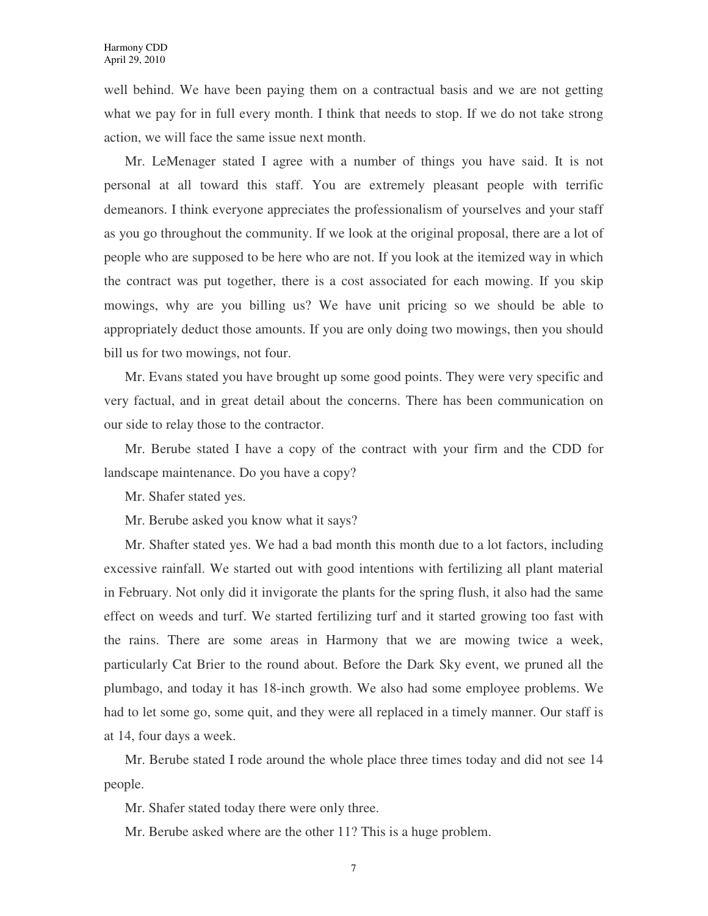well behind. We have been paying them on a contractual basis and we are not getting what we pay for in full every month. I think that needs to stop. If we do not take strong action, we will face the same issue next month.

Mr. LeMenager stated I agree with a number of things you have said. It is not personal at all toward this staff. You are extremely pleasant people with terrific demeanors. I think everyone appreciates the professionalism of yourselves and your staff as you go throughout the community. If we look at the original proposal, there are a lot of people who are supposed to be here who are not. If you look at the itemized way in which the contract was put together, there is a cost associated for each mowing. If you skip mowings, why are you billing us? We have unit pricing so we should be able to appropriately deduct those amounts. If you are only doing two mowings, then you should bill us for two mowings, not four.

Mr. Evans stated you have brought up some good points. They were very specific and very factual, and in great detail about the concerns. There has been communication on our side to relay those to the contractor.

Mr. Berube stated I have a copy of the contract with your firm and the CDD for landscape maintenance. Do you have a copy?

Mr. Shafer stated yes.

Mr. Berube asked you know what it says?

Mr. Shafter stated yes. We had a bad month this month due to a lot factors, including excessive rainfall. We started out with good intentions with fertilizing all plant material in February. Not only did it invigorate the plants for the spring flush, it also had the same effect on weeds and turf. We started fertilizing turf and it started growing too fast with the rains. There are some areas in Harmony that we are mowing twice a week, particularly Cat Brier to the round about. Before the Dark Sky event, we pruned all the plumbago, and today it has 18-inch growth. We also had some employee problems. We had to let some go, some quit, and they were all replaced in a timely manner. Our staff is at 14, four days a week.

Mr. Berube stated I rode around the whole place three times today and did not see 14 people.

Mr. Shafer stated today there were only three.

Mr. Berube asked where are the other 11? This is a huge problem.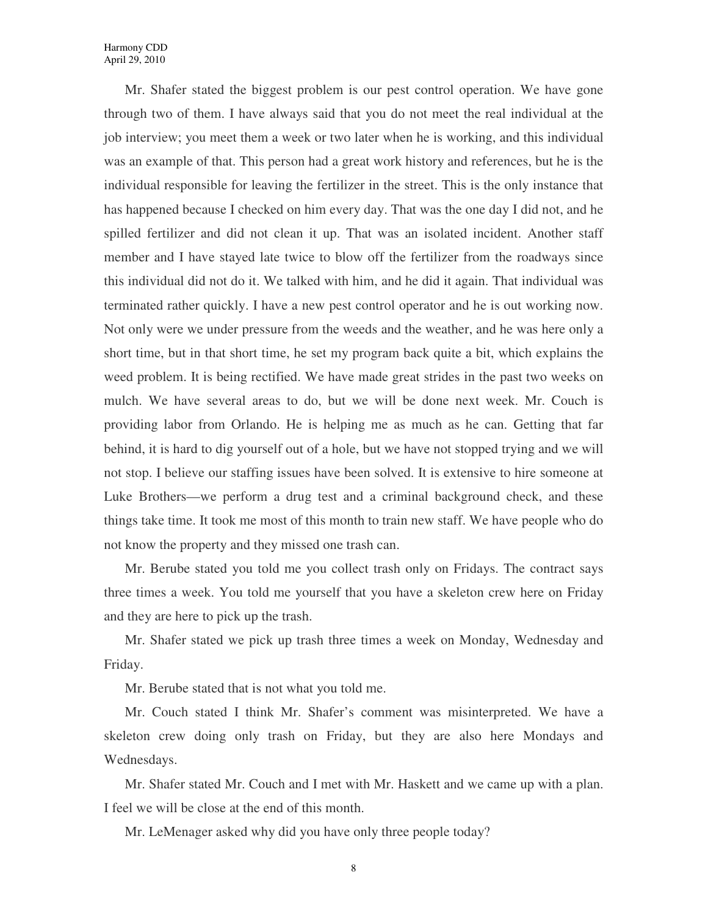Mr. Shafer stated the biggest problem is our pest control operation. We have gone through two of them. I have always said that you do not meet the real individual at the job interview; you meet them a week or two later when he is working, and this individual was an example of that. This person had a great work history and references, but he is the individual responsible for leaving the fertilizer in the street. This is the only instance that has happened because I checked on him every day. That was the one day I did not, and he spilled fertilizer and did not clean it up. That was an isolated incident. Another staff member and I have stayed late twice to blow off the fertilizer from the roadways since this individual did not do it. We talked with him, and he did it again. That individual was terminated rather quickly. I have a new pest control operator and he is out working now. Not only were we under pressure from the weeds and the weather, and he was here only a short time, but in that short time, he set my program back quite a bit, which explains the weed problem. It is being rectified. We have made great strides in the past two weeks on mulch. We have several areas to do, but we will be done next week. Mr. Couch is providing labor from Orlando. He is helping me as much as he can. Getting that far behind, it is hard to dig yourself out of a hole, but we have not stopped trying and we will not stop. I believe our staffing issues have been solved. It is extensive to hire someone at Luke Brothers—we perform a drug test and a criminal background check, and these things take time. It took me most of this month to train new staff. We have people who do not know the property and they missed one trash can.

Mr. Berube stated you told me you collect trash only on Fridays. The contract says three times a week. You told me yourself that you have a skeleton crew here on Friday and they are here to pick up the trash.

Mr. Shafer stated we pick up trash three times a week on Monday, Wednesday and Friday.

Mr. Berube stated that is not what you told me.

Mr. Couch stated I think Mr. Shafer's comment was misinterpreted. We have a skeleton crew doing only trash on Friday, but they are also here Mondays and Wednesdays.

Mr. Shafer stated Mr. Couch and I met with Mr. Haskett and we came up with a plan. I feel we will be close at the end of this month.

Mr. LeMenager asked why did you have only three people today?

8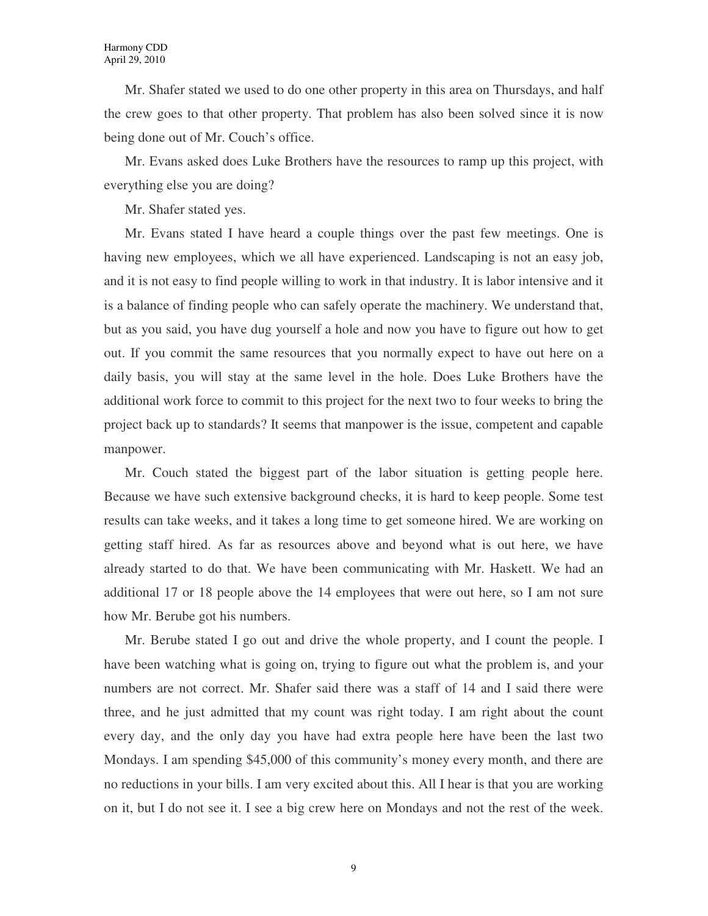Mr. Shafer stated we used to do one other property in this area on Thursdays, and half the crew goes to that other property. That problem has also been solved since it is now being done out of Mr. Couch's office.

Mr. Evans asked does Luke Brothers have the resources to ramp up this project, with everything else you are doing?

Mr. Shafer stated yes.

Mr. Evans stated I have heard a couple things over the past few meetings. One is having new employees, which we all have experienced. Landscaping is not an easy job, and it is not easy to find people willing to work in that industry. It is labor intensive and it is a balance of finding people who can safely operate the machinery. We understand that, but as you said, you have dug yourself a hole and now you have to figure out how to get out. If you commit the same resources that you normally expect to have out here on a daily basis, you will stay at the same level in the hole. Does Luke Brothers have the additional work force to commit to this project for the next two to four weeks to bring the project back up to standards? It seems that manpower is the issue, competent and capable manpower.

Mr. Couch stated the biggest part of the labor situation is getting people here. Because we have such extensive background checks, it is hard to keep people. Some test results can take weeks, and it takes a long time to get someone hired. We are working on getting staff hired. As far as resources above and beyond what is out here, we have already started to do that. We have been communicating with Mr. Haskett. We had an additional 17 or 18 people above the 14 employees that were out here, so I am not sure how Mr. Berube got his numbers.

Mr. Berube stated I go out and drive the whole property, and I count the people. I have been watching what is going on, trying to figure out what the problem is, and your numbers are not correct. Mr. Shafer said there was a staff of 14 and I said there were three, and he just admitted that my count was right today. I am right about the count every day, and the only day you have had extra people here have been the last two Mondays. I am spending \$45,000 of this community's money every month, and there are no reductions in your bills. I am very excited about this. All I hear is that you are working on it, but I do not see it. I see a big crew here on Mondays and not the rest of the week.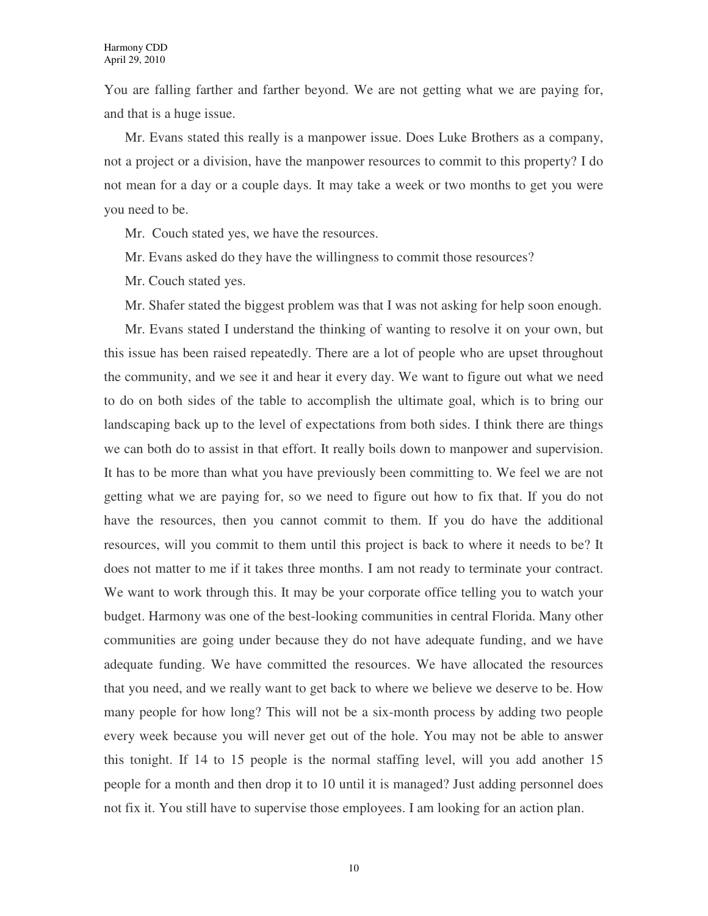You are falling farther and farther beyond. We are not getting what we are paying for, and that is a huge issue.

Mr. Evans stated this really is a manpower issue. Does Luke Brothers as a company, not a project or a division, have the manpower resources to commit to this property? I do not mean for a day or a couple days. It may take a week or two months to get you were you need to be.

Mr. Couch stated yes, we have the resources.

Mr. Evans asked do they have the willingness to commit those resources?

Mr. Couch stated yes.

Mr. Shafer stated the biggest problem was that I was not asking for help soon enough.

Mr. Evans stated I understand the thinking of wanting to resolve it on your own, but this issue has been raised repeatedly. There are a lot of people who are upset throughout the community, and we see it and hear it every day. We want to figure out what we need to do on both sides of the table to accomplish the ultimate goal, which is to bring our landscaping back up to the level of expectations from both sides. I think there are things we can both do to assist in that effort. It really boils down to manpower and supervision. It has to be more than what you have previously been committing to. We feel we are not getting what we are paying for, so we need to figure out how to fix that. If you do not have the resources, then you cannot commit to them. If you do have the additional resources, will you commit to them until this project is back to where it needs to be? It does not matter to me if it takes three months. I am not ready to terminate your contract. We want to work through this. It may be your corporate office telling you to watch your budget. Harmony was one of the best-looking communities in central Florida. Many other communities are going under because they do not have adequate funding, and we have adequate funding. We have committed the resources. We have allocated the resources that you need, and we really want to get back to where we believe we deserve to be. How many people for how long? This will not be a six-month process by adding two people every week because you will never get out of the hole. You may not be able to answer this tonight. If 14 to 15 people is the normal staffing level, will you add another 15 people for a month and then drop it to 10 until it is managed? Just adding personnel does not fix it. You still have to supervise those employees. I am looking for an action plan.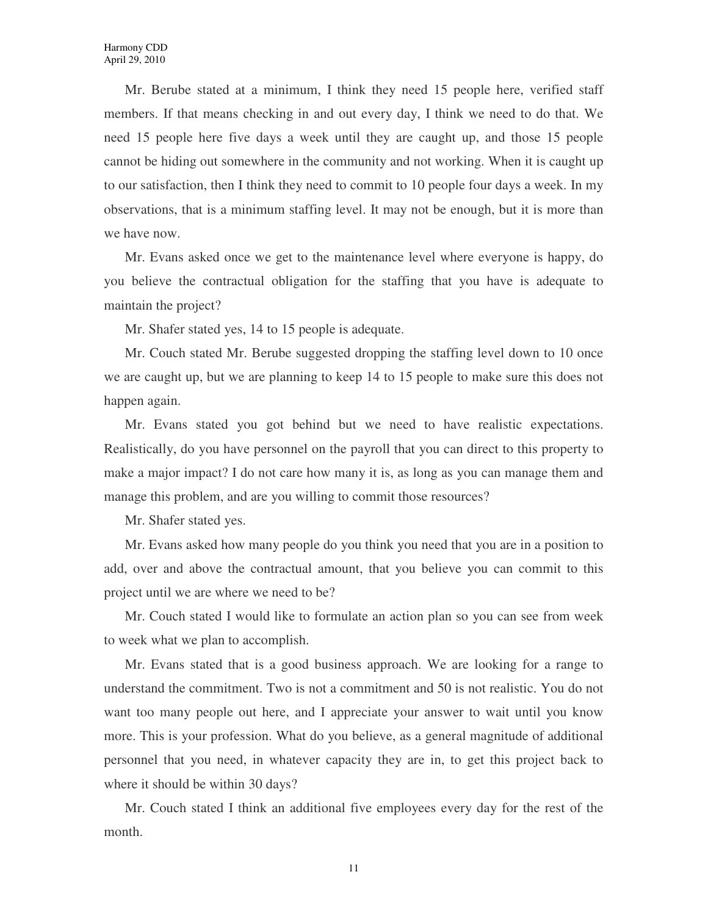Mr. Berube stated at a minimum, I think they need 15 people here, verified staff members. If that means checking in and out every day, I think we need to do that. We need 15 people here five days a week until they are caught up, and those 15 people cannot be hiding out somewhere in the community and not working. When it is caught up to our satisfaction, then I think they need to commit to 10 people four days a week. In my observations, that is a minimum staffing level. It may not be enough, but it is more than we have now.

Mr. Evans asked once we get to the maintenance level where everyone is happy, do you believe the contractual obligation for the staffing that you have is adequate to maintain the project?

Mr. Shafer stated yes, 14 to 15 people is adequate.

Mr. Couch stated Mr. Berube suggested dropping the staffing level down to 10 once we are caught up, but we are planning to keep 14 to 15 people to make sure this does not happen again.

Mr. Evans stated you got behind but we need to have realistic expectations. Realistically, do you have personnel on the payroll that you can direct to this property to make a major impact? I do not care how many it is, as long as you can manage them and manage this problem, and are you willing to commit those resources?

Mr. Shafer stated yes.

Mr. Evans asked how many people do you think you need that you are in a position to add, over and above the contractual amount, that you believe you can commit to this project until we are where we need to be?

Mr. Couch stated I would like to formulate an action plan so you can see from week to week what we plan to accomplish.

Mr. Evans stated that is a good business approach. We are looking for a range to understand the commitment. Two is not a commitment and 50 is not realistic. You do not want too many people out here, and I appreciate your answer to wait until you know more. This is your profession. What do you believe, as a general magnitude of additional personnel that you need, in whatever capacity they are in, to get this project back to where it should be within 30 days?

Mr. Couch stated I think an additional five employees every day for the rest of the month.

11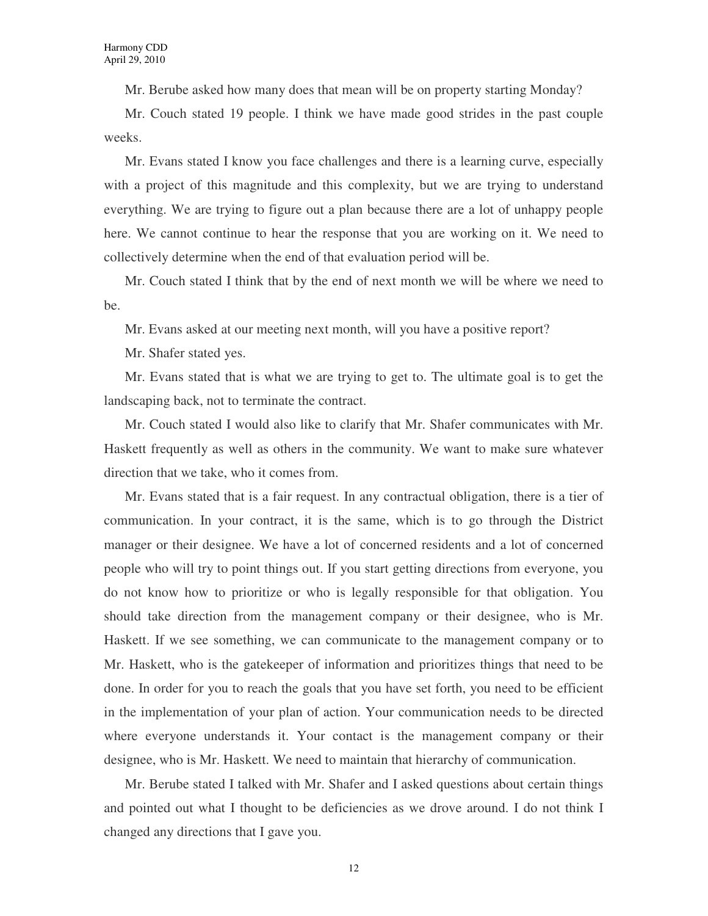Mr. Berube asked how many does that mean will be on property starting Monday?

Mr. Couch stated 19 people. I think we have made good strides in the past couple weeks.

Mr. Evans stated I know you face challenges and there is a learning curve, especially with a project of this magnitude and this complexity, but we are trying to understand everything. We are trying to figure out a plan because there are a lot of unhappy people here. We cannot continue to hear the response that you are working on it. We need to collectively determine when the end of that evaluation period will be.

Mr. Couch stated I think that by the end of next month we will be where we need to be.

Mr. Evans asked at our meeting next month, will you have a positive report?

Mr. Shafer stated yes.

Mr. Evans stated that is what we are trying to get to. The ultimate goal is to get the landscaping back, not to terminate the contract.

Mr. Couch stated I would also like to clarify that Mr. Shafer communicates with Mr. Haskett frequently as well as others in the community. We want to make sure whatever direction that we take, who it comes from.

Mr. Evans stated that is a fair request. In any contractual obligation, there is a tier of communication. In your contract, it is the same, which is to go through the District manager or their designee. We have a lot of concerned residents and a lot of concerned people who will try to point things out. If you start getting directions from everyone, you do not know how to prioritize or who is legally responsible for that obligation. You should take direction from the management company or their designee, who is Mr. Haskett. If we see something, we can communicate to the management company or to Mr. Haskett, who is the gatekeeper of information and prioritizes things that need to be done. In order for you to reach the goals that you have set forth, you need to be efficient in the implementation of your plan of action. Your communication needs to be directed where everyone understands it. Your contact is the management company or their designee, who is Mr. Haskett. We need to maintain that hierarchy of communication.

Mr. Berube stated I talked with Mr. Shafer and I asked questions about certain things and pointed out what I thought to be deficiencies as we drove around. I do not think I changed any directions that I gave you.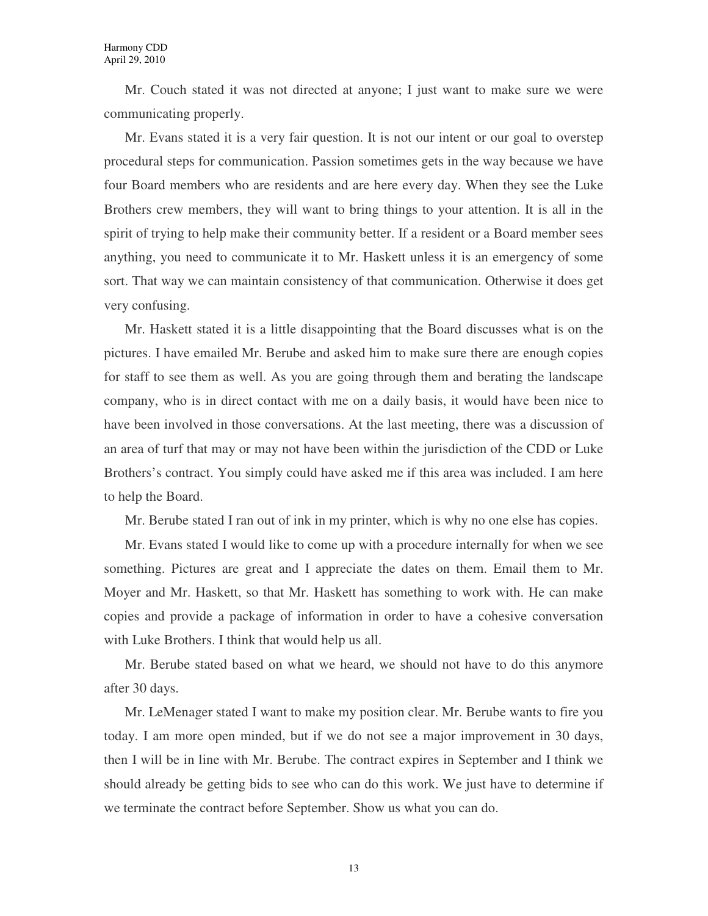Mr. Couch stated it was not directed at anyone; I just want to make sure we were communicating properly.

Mr. Evans stated it is a very fair question. It is not our intent or our goal to overstep procedural steps for communication. Passion sometimes gets in the way because we have four Board members who are residents and are here every day. When they see the Luke Brothers crew members, they will want to bring things to your attention. It is all in the spirit of trying to help make their community better. If a resident or a Board member sees anything, you need to communicate it to Mr. Haskett unless it is an emergency of some sort. That way we can maintain consistency of that communication. Otherwise it does get very confusing.

Mr. Haskett stated it is a little disappointing that the Board discusses what is on the pictures. I have emailed Mr. Berube and asked him to make sure there are enough copies for staff to see them as well. As you are going through them and berating the landscape company, who is in direct contact with me on a daily basis, it would have been nice to have been involved in those conversations. At the last meeting, there was a discussion of an area of turf that may or may not have been within the jurisdiction of the CDD or Luke Brothers's contract. You simply could have asked me if this area was included. I am here to help the Board.

Mr. Berube stated I ran out of ink in my printer, which is why no one else has copies.

Mr. Evans stated I would like to come up with a procedure internally for when we see something. Pictures are great and I appreciate the dates on them. Email them to Mr. Moyer and Mr. Haskett, so that Mr. Haskett has something to work with. He can make copies and provide a package of information in order to have a cohesive conversation with Luke Brothers. I think that would help us all.

Mr. Berube stated based on what we heard, we should not have to do this anymore after 30 days.

Mr. LeMenager stated I want to make my position clear. Mr. Berube wants to fire you today. I am more open minded, but if we do not see a major improvement in 30 days, then I will be in line with Mr. Berube. The contract expires in September and I think we should already be getting bids to see who can do this work. We just have to determine if we terminate the contract before September. Show us what you can do.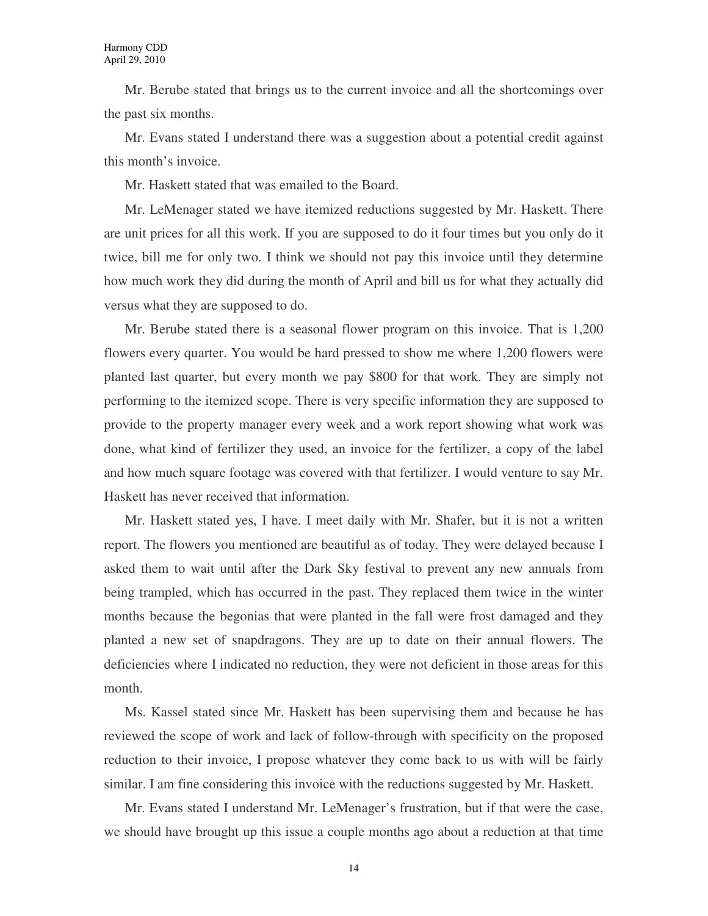Mr. Berube stated that brings us to the current invoice and all the shortcomings over the past six months.

Mr. Evans stated I understand there was a suggestion about a potential credit against this month's invoice.

Mr. Haskett stated that was emailed to the Board.

Mr. LeMenager stated we have itemized reductions suggested by Mr. Haskett. There are unit prices for all this work. If you are supposed to do it four times but you only do it twice, bill me for only two. I think we should not pay this invoice until they determine how much work they did during the month of April and bill us for what they actually did versus what they are supposed to do.

Mr. Berube stated there is a seasonal flower program on this invoice. That is 1,200 flowers every quarter. You would be hard pressed to show me where 1,200 flowers were planted last quarter, but every month we pay \$800 for that work. They are simply not performing to the itemized scope. There is very specific information they are supposed to provide to the property manager every week and a work report showing what work was done, what kind of fertilizer they used, an invoice for the fertilizer, a copy of the label and how much square footage was covered with that fertilizer. I would venture to say Mr. Haskett has never received that information.

Mr. Haskett stated yes, I have. I meet daily with Mr. Shafer, but it is not a written report. The flowers you mentioned are beautiful as of today. They were delayed because I asked them to wait until after the Dark Sky festival to prevent any new annuals from being trampled, which has occurred in the past. They replaced them twice in the winter months because the begonias that were planted in the fall were frost damaged and they planted a new set of snapdragons. They are up to date on their annual flowers. The deficiencies where I indicated no reduction, they were not deficient in those areas for this month.

Ms. Kassel stated since Mr. Haskett has been supervising them and because he has reviewed the scope of work and lack of follow-through with specificity on the proposed reduction to their invoice, I propose whatever they come back to us with will be fairly similar. I am fine considering this invoice with the reductions suggested by Mr. Haskett.

Mr. Evans stated I understand Mr. LeMenager's frustration, but if that were the case, we should have brought up this issue a couple months ago about a reduction at that time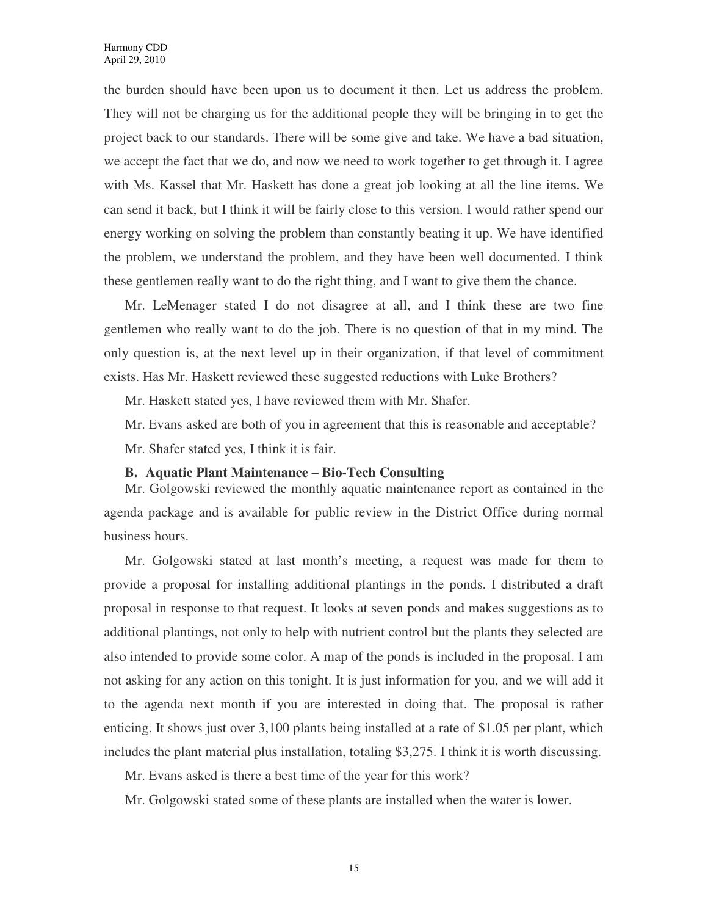the burden should have been upon us to document it then. Let us address the problem. They will not be charging us for the additional people they will be bringing in to get the project back to our standards. There will be some give and take. We have a bad situation, we accept the fact that we do, and now we need to work together to get through it. I agree with Ms. Kassel that Mr. Haskett has done a great job looking at all the line items. We can send it back, but I think it will be fairly close to this version. I would rather spend our energy working on solving the problem than constantly beating it up. We have identified the problem, we understand the problem, and they have been well documented. I think these gentlemen really want to do the right thing, and I want to give them the chance.

Mr. LeMenager stated I do not disagree at all, and I think these are two fine gentlemen who really want to do the job. There is no question of that in my mind. The only question is, at the next level up in their organization, if that level of commitment exists. Has Mr. Haskett reviewed these suggested reductions with Luke Brothers?

Mr. Haskett stated yes, I have reviewed them with Mr. Shafer.

Mr. Evans asked are both of you in agreement that this is reasonable and acceptable?

Mr. Shafer stated yes, I think it is fair.

#### **B. Aquatic Plant Maintenance – Bio-Tech Consulting**

Mr. Golgowski reviewed the monthly aquatic maintenance report as contained in the agenda package and is available for public review in the District Office during normal business hours.

Mr. Golgowski stated at last month's meeting, a request was made for them to provide a proposal for installing additional plantings in the ponds. I distributed a draft proposal in response to that request. It looks at seven ponds and makes suggestions as to additional plantings, not only to help with nutrient control but the plants they selected are also intended to provide some color. A map of the ponds is included in the proposal. I am not asking for any action on this tonight. It is just information for you, and we will add it to the agenda next month if you are interested in doing that. The proposal is rather enticing. It shows just over 3,100 plants being installed at a rate of \$1.05 per plant, which includes the plant material plus installation, totaling \$3,275. I think it is worth discussing.

Mr. Evans asked is there a best time of the year for this work?

Mr. Golgowski stated some of these plants are installed when the water is lower.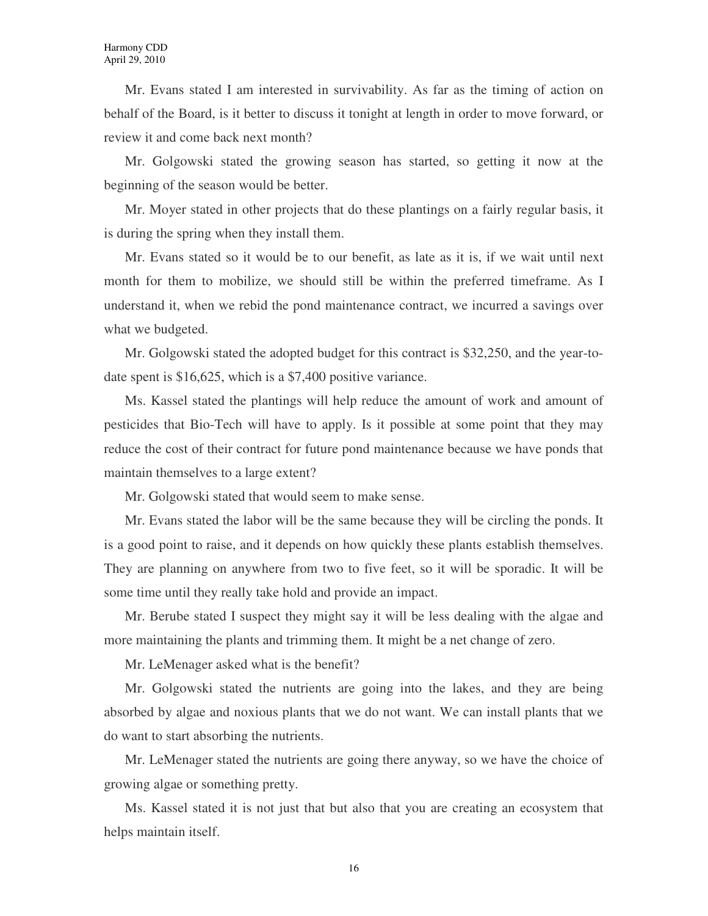Mr. Evans stated I am interested in survivability. As far as the timing of action on behalf of the Board, is it better to discuss it tonight at length in order to move forward, or review it and come back next month?

Mr. Golgowski stated the growing season has started, so getting it now at the beginning of the season would be better.

Mr. Moyer stated in other projects that do these plantings on a fairly regular basis, it is during the spring when they install them.

Mr. Evans stated so it would be to our benefit, as late as it is, if we wait until next month for them to mobilize, we should still be within the preferred timeframe. As I understand it, when we rebid the pond maintenance contract, we incurred a savings over what we budgeted.

Mr. Golgowski stated the adopted budget for this contract is \$32,250, and the year-todate spent is \$16,625, which is a \$7,400 positive variance.

Ms. Kassel stated the plantings will help reduce the amount of work and amount of pesticides that Bio-Tech will have to apply. Is it possible at some point that they may reduce the cost of their contract for future pond maintenance because we have ponds that maintain themselves to a large extent?

Mr. Golgowski stated that would seem to make sense.

Mr. Evans stated the labor will be the same because they will be circling the ponds. It is a good point to raise, and it depends on how quickly these plants establish themselves. They are planning on anywhere from two to five feet, so it will be sporadic. It will be some time until they really take hold and provide an impact.

Mr. Berube stated I suspect they might say it will be less dealing with the algae and more maintaining the plants and trimming them. It might be a net change of zero.

Mr. LeMenager asked what is the benefit?

Mr. Golgowski stated the nutrients are going into the lakes, and they are being absorbed by algae and noxious plants that we do not want. We can install plants that we do want to start absorbing the nutrients.

Mr. LeMenager stated the nutrients are going there anyway, so we have the choice of growing algae or something pretty.

Ms. Kassel stated it is not just that but also that you are creating an ecosystem that helps maintain itself.

16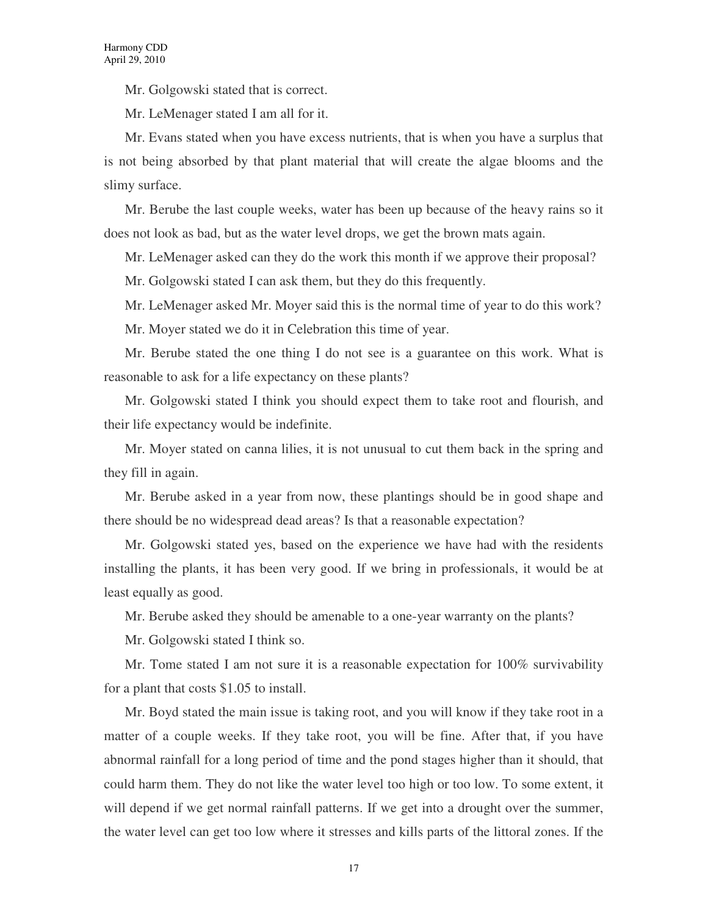Mr. Golgowski stated that is correct.

Mr. LeMenager stated I am all for it.

Mr. Evans stated when you have excess nutrients, that is when you have a surplus that is not being absorbed by that plant material that will create the algae blooms and the slimy surface.

Mr. Berube the last couple weeks, water has been up because of the heavy rains so it does not look as bad, but as the water level drops, we get the brown mats again.

Mr. LeMenager asked can they do the work this month if we approve their proposal?

Mr. Golgowski stated I can ask them, but they do this frequently.

Mr. LeMenager asked Mr. Moyer said this is the normal time of year to do this work?

Mr. Moyer stated we do it in Celebration this time of year.

Mr. Berube stated the one thing I do not see is a guarantee on this work. What is reasonable to ask for a life expectancy on these plants?

Mr. Golgowski stated I think you should expect them to take root and flourish, and their life expectancy would be indefinite.

Mr. Moyer stated on canna lilies, it is not unusual to cut them back in the spring and they fill in again.

Mr. Berube asked in a year from now, these plantings should be in good shape and there should be no widespread dead areas? Is that a reasonable expectation?

Mr. Golgowski stated yes, based on the experience we have had with the residents installing the plants, it has been very good. If we bring in professionals, it would be at least equally as good.

Mr. Berube asked they should be amenable to a one-year warranty on the plants?

Mr. Golgowski stated I think so.

Mr. Tome stated I am not sure it is a reasonable expectation for  $100\%$  survivability for a plant that costs \$1.05 to install.

Mr. Boyd stated the main issue is taking root, and you will know if they take root in a matter of a couple weeks. If they take root, you will be fine. After that, if you have abnormal rainfall for a long period of time and the pond stages higher than it should, that could harm them. They do not like the water level too high or too low. To some extent, it will depend if we get normal rainfall patterns. If we get into a drought over the summer, the water level can get too low where it stresses and kills parts of the littoral zones. If the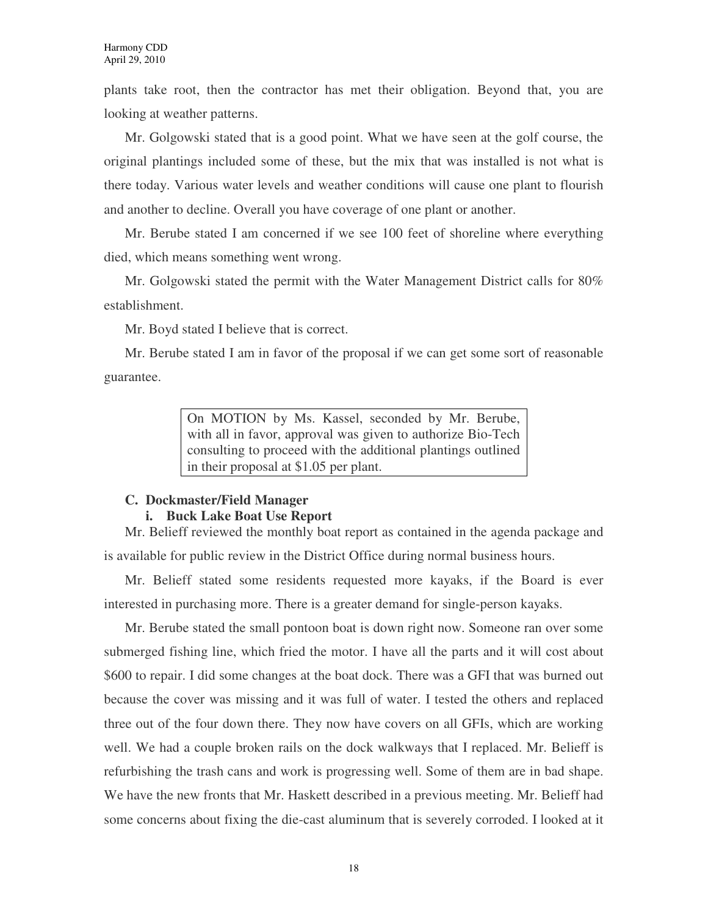plants take root, then the contractor has met their obligation. Beyond that, you are looking at weather patterns.

Mr. Golgowski stated that is a good point. What we have seen at the golf course, the original plantings included some of these, but the mix that was installed is not what is there today. Various water levels and weather conditions will cause one plant to flourish and another to decline. Overall you have coverage of one plant or another.

Mr. Berube stated I am concerned if we see 100 feet of shoreline where everything died, which means something went wrong.

Mr. Golgowski stated the permit with the Water Management District calls for 80% establishment.

Mr. Boyd stated I believe that is correct.

Mr. Berube stated I am in favor of the proposal if we can get some sort of reasonable guarantee.

> On MOTION by Ms. Kassel, seconded by Mr. Berube, with all in favor, approval was given to authorize Bio-Tech consulting to proceed with the additional plantings outlined in their proposal at \$1.05 per plant.

# **C. Dockmaster/Field Manager i. Buck Lake Boat Use Report**

Mr. Belieff reviewed the monthly boat report as contained in the agenda package and is available for public review in the District Office during normal business hours.

Mr. Belieff stated some residents requested more kayaks, if the Board is ever interested in purchasing more. There is a greater demand for single-person kayaks.

Mr. Berube stated the small pontoon boat is down right now. Someone ran over some submerged fishing line, which fried the motor. I have all the parts and it will cost about \$600 to repair. I did some changes at the boat dock. There was a GFI that was burned out because the cover was missing and it was full of water. I tested the others and replaced three out of the four down there. They now have covers on all GFIs, which are working well. We had a couple broken rails on the dock walkways that I replaced. Mr. Belieff is refurbishing the trash cans and work is progressing well. Some of them are in bad shape. We have the new fronts that Mr. Haskett described in a previous meeting. Mr. Belieff had some concerns about fixing the die-cast aluminum that is severely corroded. I looked at it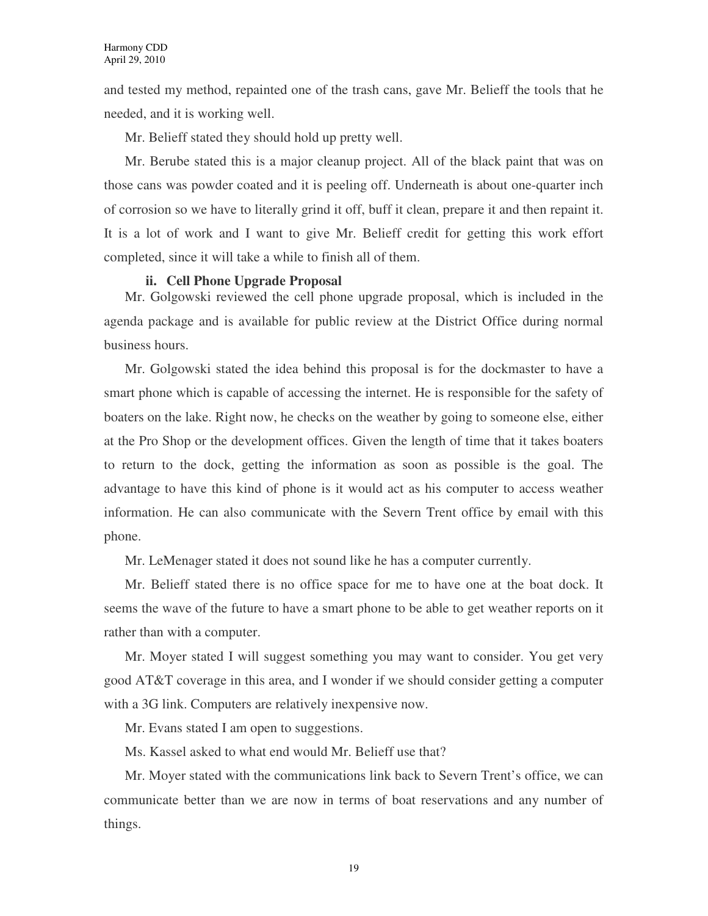and tested my method, repainted one of the trash cans, gave Mr. Belieff the tools that he needed, and it is working well.

Mr. Belieff stated they should hold up pretty well.

Mr. Berube stated this is a major cleanup project. All of the black paint that was on those cans was powder coated and it is peeling off. Underneath is about one-quarter inch of corrosion so we have to literally grind it off, buff it clean, prepare it and then repaint it. It is a lot of work and I want to give Mr. Belieff credit for getting this work effort completed, since it will take a while to finish all of them.

### **ii. Cell Phone Upgrade Proposal**

Mr. Golgowski reviewed the cell phone upgrade proposal, which is included in the agenda package and is available for public review at the District Office during normal business hours.

Mr. Golgowski stated the idea behind this proposal is for the dockmaster to have a smart phone which is capable of accessing the internet. He is responsible for the safety of boaters on the lake. Right now, he checks on the weather by going to someone else, either at the Pro Shop or the development offices. Given the length of time that it takes boaters to return to the dock, getting the information as soon as possible is the goal. The advantage to have this kind of phone is it would act as his computer to access weather information. He can also communicate with the Severn Trent office by email with this phone.

Mr. LeMenager stated it does not sound like he has a computer currently.

Mr. Belieff stated there is no office space for me to have one at the boat dock. It seems the wave of the future to have a smart phone to be able to get weather reports on it rather than with a computer.

Mr. Moyer stated I will suggest something you may want to consider. You get very good AT&T coverage in this area, and I wonder if we should consider getting a computer with a 3G link. Computers are relatively inexpensive now.

Mr. Evans stated I am open to suggestions.

Ms. Kassel asked to what end would Mr. Belieff use that?

Mr. Moyer stated with the communications link back to Severn Trent's office, we can communicate better than we are now in terms of boat reservations and any number of things.

19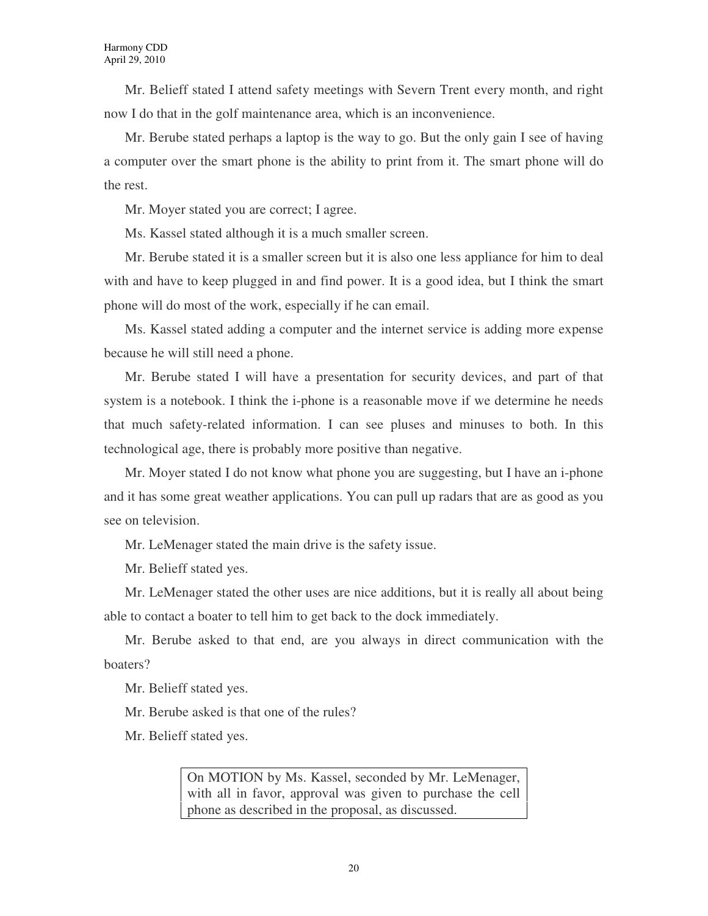Mr. Belieff stated I attend safety meetings with Severn Trent every month, and right now I do that in the golf maintenance area, which is an inconvenience.

Mr. Berube stated perhaps a laptop is the way to go. But the only gain I see of having a computer over the smart phone is the ability to print from it. The smart phone will do the rest.

Mr. Moyer stated you are correct; I agree.

Ms. Kassel stated although it is a much smaller screen.

Mr. Berube stated it is a smaller screen but it is also one less appliance for him to deal with and have to keep plugged in and find power. It is a good idea, but I think the smart phone will do most of the work, especially if he can email.

Ms. Kassel stated adding a computer and the internet service is adding more expense because he will still need a phone.

Mr. Berube stated I will have a presentation for security devices, and part of that system is a notebook. I think the i-phone is a reasonable move if we determine he needs that much safety-related information. I can see pluses and minuses to both. In this technological age, there is probably more positive than negative.

Mr. Moyer stated I do not know what phone you are suggesting, but I have an i-phone and it has some great weather applications. You can pull up radars that are as good as you see on television.

Mr. LeMenager stated the main drive is the safety issue.

Mr. Belieff stated yes.

Mr. LeMenager stated the other uses are nice additions, but it is really all about being able to contact a boater to tell him to get back to the dock immediately.

Mr. Berube asked to that end, are you always in direct communication with the boaters?

Mr. Belieff stated yes.

Mr. Berube asked is that one of the rules?

Mr. Belieff stated yes.

On MOTION by Ms. Kassel, seconded by Mr. LeMenager, with all in favor, approval was given to purchase the cell phone as described in the proposal, as discussed.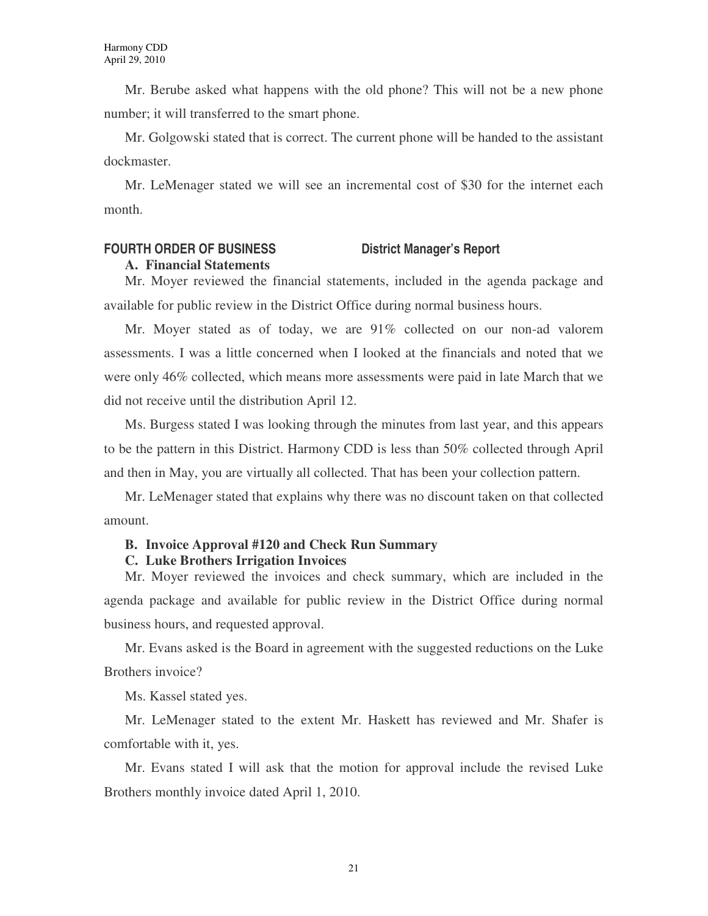Mr. Berube asked what happens with the old phone? This will not be a new phone number; it will transferred to the smart phone.

Mr. Golgowski stated that is correct. The current phone will be handed to the assistant dockmaster.

Mr. LeMenager stated we will see an incremental cost of \$30 for the internet each month.

# **FOURTH ORDER OF BUSINESS District Manager's Report**

### **A. Financial Statements**

Mr. Moyer reviewed the financial statements, included in the agenda package and available for public review in the District Office during normal business hours.

Mr. Moyer stated as of today, we are 91% collected on our non-ad valorem assessments. I was a little concerned when I looked at the financials and noted that we were only 46% collected, which means more assessments were paid in late March that we did not receive until the distribution April 12.

Ms. Burgess stated I was looking through the minutes from last year, and this appears to be the pattern in this District. Harmony CDD is less than 50% collected through April and then in May, you are virtually all collected. That has been your collection pattern.

Mr. LeMenager stated that explains why there was no discount taken on that collected amount.

# **B. Invoice Approval #120 and Check Run Summary**

### **C. Luke Brothers Irrigation Invoices**

Mr. Moyer reviewed the invoices and check summary, which are included in the agenda package and available for public review in the District Office during normal business hours, and requested approval.

Mr. Evans asked is the Board in agreement with the suggested reductions on the Luke Brothers invoice?

Ms. Kassel stated yes.

Mr. LeMenager stated to the extent Mr. Haskett has reviewed and Mr. Shafer is comfortable with it, yes.

Mr. Evans stated I will ask that the motion for approval include the revised Luke Brothers monthly invoice dated April 1, 2010.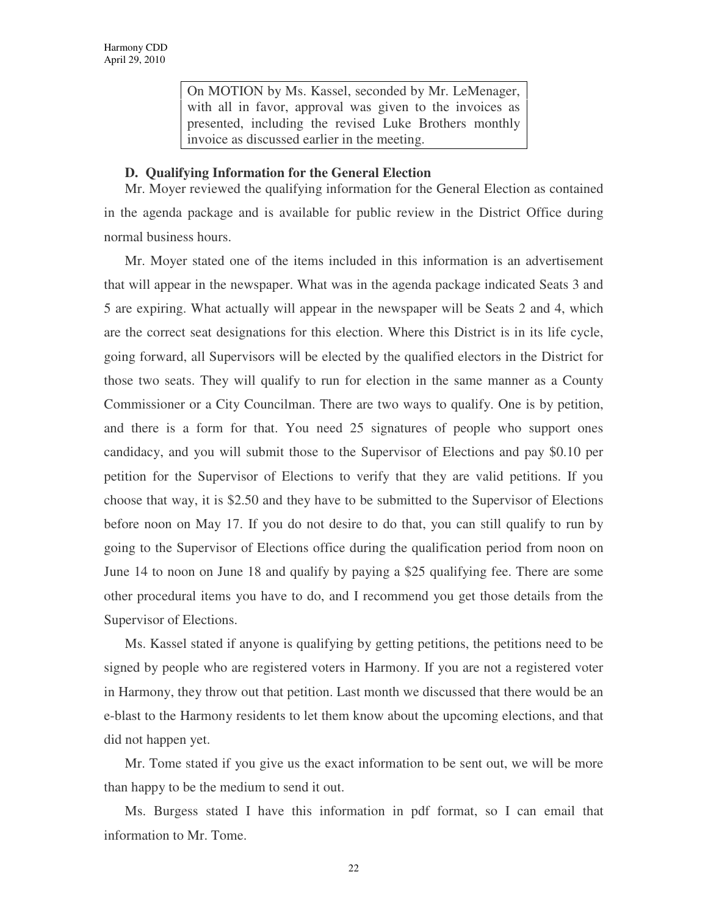On MOTION by Ms. Kassel, seconded by Mr. LeMenager, with all in favor, approval was given to the invoices as presented, including the revised Luke Brothers monthly invoice as discussed earlier in the meeting.

#### **D. Qualifying Information for the General Election**

Mr. Moyer reviewed the qualifying information for the General Election as contained in the agenda package and is available for public review in the District Office during normal business hours.

Mr. Moyer stated one of the items included in this information is an advertisement that will appear in the newspaper. What was in the agenda package indicated Seats 3 and 5 are expiring. What actually will appear in the newspaper will be Seats 2 and 4, which are the correct seat designations for this election. Where this District is in its life cycle, going forward, all Supervisors will be elected by the qualified electors in the District for those two seats. They will qualify to run for election in the same manner as a County Commissioner or a City Councilman. There are two ways to qualify. One is by petition, and there is a form for that. You need 25 signatures of people who support ones candidacy, and you will submit those to the Supervisor of Elections and pay \$0.10 per petition for the Supervisor of Elections to verify that they are valid petitions. If you choose that way, it is \$2.50 and they have to be submitted to the Supervisor of Elections before noon on May 17. If you do not desire to do that, you can still qualify to run by going to the Supervisor of Elections office during the qualification period from noon on June 14 to noon on June 18 and qualify by paying a \$25 qualifying fee. There are some other procedural items you have to do, and I recommend you get those details from the Supervisor of Elections.

Ms. Kassel stated if anyone is qualifying by getting petitions, the petitions need to be signed by people who are registered voters in Harmony. If you are not a registered voter in Harmony, they throw out that petition. Last month we discussed that there would be an e-blast to the Harmony residents to let them know about the upcoming elections, and that did not happen yet.

Mr. Tome stated if you give us the exact information to be sent out, we will be more than happy to be the medium to send it out.

Ms. Burgess stated I have this information in pdf format, so I can email that information to Mr. Tome.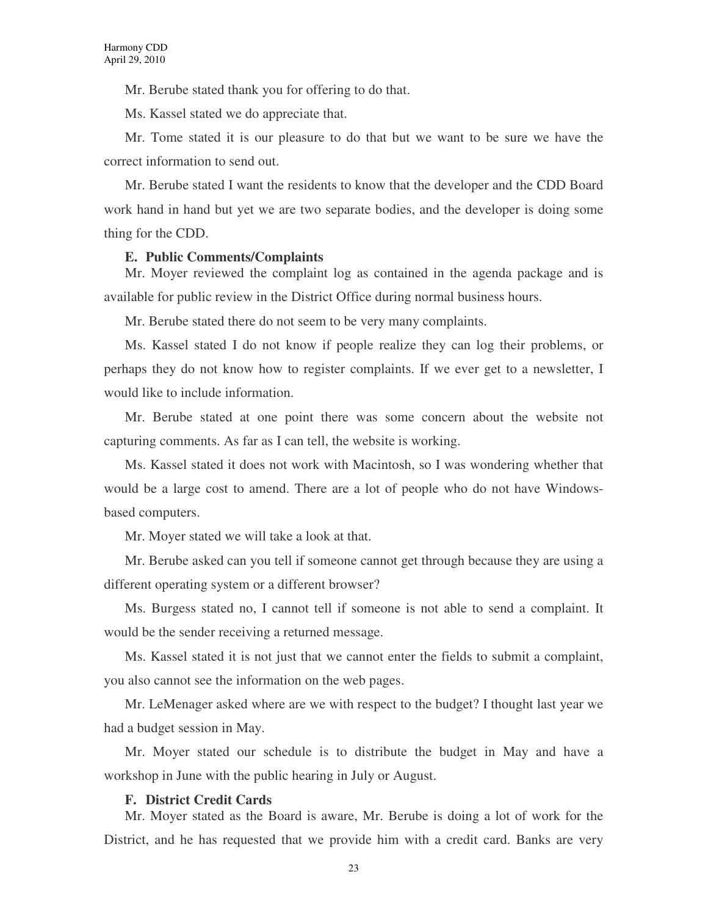Mr. Berube stated thank you for offering to do that.

Ms. Kassel stated we do appreciate that.

Mr. Tome stated it is our pleasure to do that but we want to be sure we have the correct information to send out.

Mr. Berube stated I want the residents to know that the developer and the CDD Board work hand in hand but yet we are two separate bodies, and the developer is doing some thing for the CDD.

#### **E. Public Comments/Complaints**

Mr. Moyer reviewed the complaint log as contained in the agenda package and is available for public review in the District Office during normal business hours.

Mr. Berube stated there do not seem to be very many complaints.

Ms. Kassel stated I do not know if people realize they can log their problems, or perhaps they do not know how to register complaints. If we ever get to a newsletter, I would like to include information.

Mr. Berube stated at one point there was some concern about the website not capturing comments. As far as I can tell, the website is working.

Ms. Kassel stated it does not work with Macintosh, so I was wondering whether that would be a large cost to amend. There are a lot of people who do not have Windowsbased computers.

Mr. Moyer stated we will take a look at that.

Mr. Berube asked can you tell if someone cannot get through because they are using a different operating system or a different browser?

Ms. Burgess stated no, I cannot tell if someone is not able to send a complaint. It would be the sender receiving a returned message.

Ms. Kassel stated it is not just that we cannot enter the fields to submit a complaint, you also cannot see the information on the web pages.

Mr. LeMenager asked where are we with respect to the budget? I thought last year we had a budget session in May.

Mr. Moyer stated our schedule is to distribute the budget in May and have a workshop in June with the public hearing in July or August.

#### **F. District Credit Cards**

Mr. Moyer stated as the Board is aware, Mr. Berube is doing a lot of work for the District, and he has requested that we provide him with a credit card. Banks are very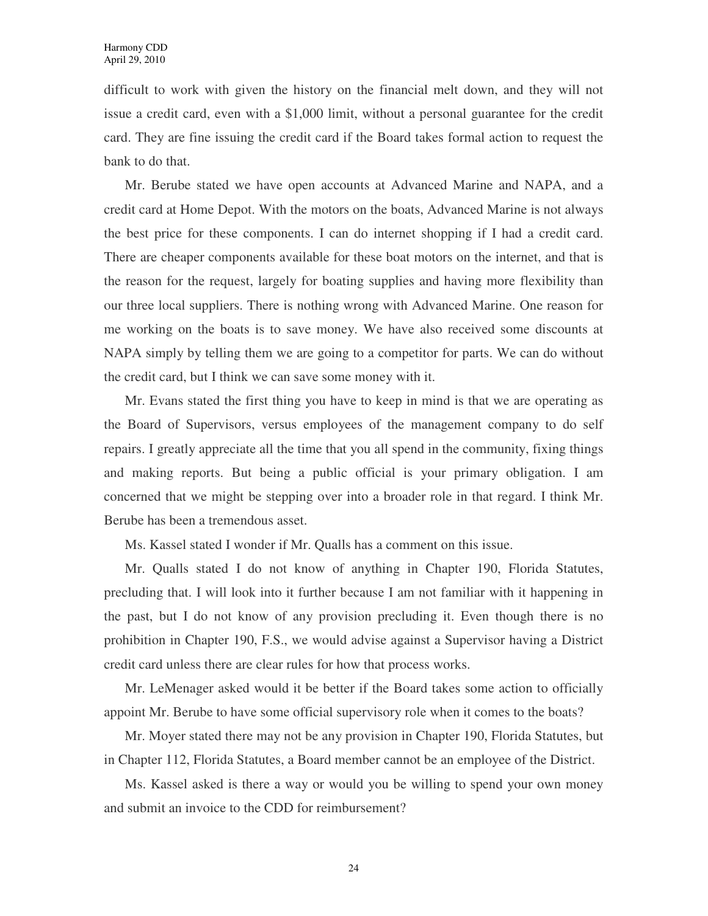difficult to work with given the history on the financial melt down, and they will not issue a credit card, even with a \$1,000 limit, without a personal guarantee for the credit card. They are fine issuing the credit card if the Board takes formal action to request the bank to do that.

Mr. Berube stated we have open accounts at Advanced Marine and NAPA, and a credit card at Home Depot. With the motors on the boats, Advanced Marine is not always the best price for these components. I can do internet shopping if I had a credit card. There are cheaper components available for these boat motors on the internet, and that is the reason for the request, largely for boating supplies and having more flexibility than our three local suppliers. There is nothing wrong with Advanced Marine. One reason for me working on the boats is to save money. We have also received some discounts at NAPA simply by telling them we are going to a competitor for parts. We can do without the credit card, but I think we can save some money with it.

Mr. Evans stated the first thing you have to keep in mind is that we are operating as the Board of Supervisors, versus employees of the management company to do self repairs. I greatly appreciate all the time that you all spend in the community, fixing things and making reports. But being a public official is your primary obligation. I am concerned that we might be stepping over into a broader role in that regard. I think Mr. Berube has been a tremendous asset.

Ms. Kassel stated I wonder if Mr. Qualls has a comment on this issue.

Mr. Qualls stated I do not know of anything in Chapter 190, Florida Statutes, precluding that. I will look into it further because I am not familiar with it happening in the past, but I do not know of any provision precluding it. Even though there is no prohibition in Chapter 190, F.S., we would advise against a Supervisor having a District credit card unless there are clear rules for how that process works.

Mr. LeMenager asked would it be better if the Board takes some action to officially appoint Mr. Berube to have some official supervisory role when it comes to the boats?

Mr. Moyer stated there may not be any provision in Chapter 190, Florida Statutes, but in Chapter 112, Florida Statutes, a Board member cannot be an employee of the District.

Ms. Kassel asked is there a way or would you be willing to spend your own money and submit an invoice to the CDD for reimbursement?

24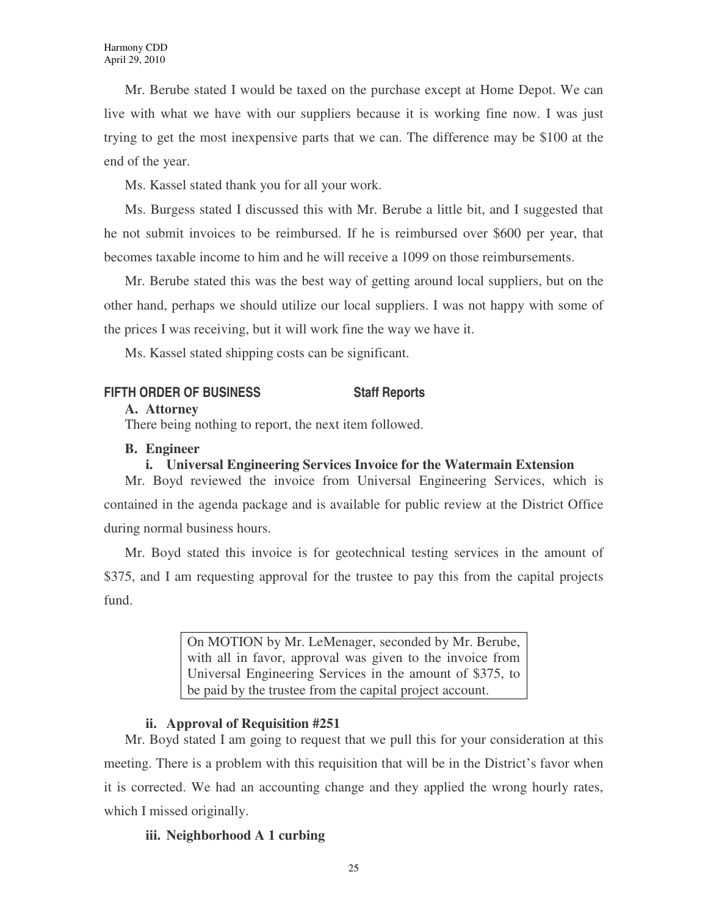Mr. Berube stated I would be taxed on the purchase except at Home Depot. We can live with what we have with our suppliers because it is working fine now. I was just trying to get the most inexpensive parts that we can. The difference may be \$100 at the end of the year.

Ms. Kassel stated thank you for all your work.

Ms. Burgess stated I discussed this with Mr. Berube a little bit, and I suggested that he not submit invoices to be reimbursed. If he is reimbursed over \$600 per year, that becomes taxable income to him and he will receive a 1099 on those reimbursements.

Mr. Berube stated this was the best way of getting around local suppliers, but on the other hand, perhaps we should utilize our local suppliers. I was not happy with some of the prices I was receiving, but it will work fine the way we have it.

Ms. Kassel stated shipping costs can be significant.

# **FIFTH ORDER OF BUSINESS Staff Reports**

### **A. Attorney**

There being nothing to report, the next item followed.

## **B. Engineer**

# **i. Universal Engineering Services Invoice for the Watermain Extension**

Mr. Boyd reviewed the invoice from Universal Engineering Services, which is contained in the agenda package and is available for public review at the District Office during normal business hours.

Mr. Boyd stated this invoice is for geotechnical testing services in the amount of \$375, and I am requesting approval for the trustee to pay this from the capital projects fund.

> On MOTION by Mr. LeMenager, seconded by Mr. Berube, with all in favor, approval was given to the invoice from Universal Engineering Services in the amount of \$375, to be paid by the trustee from the capital project account.

# **ii. Approval of Requisition #251**

Mr. Boyd stated I am going to request that we pull this for your consideration at this meeting. There is a problem with this requisition that will be in the District's favor when it is corrected. We had an accounting change and they applied the wrong hourly rates, which I missed originally.

# **iii. Neighborhood A 1 curbing**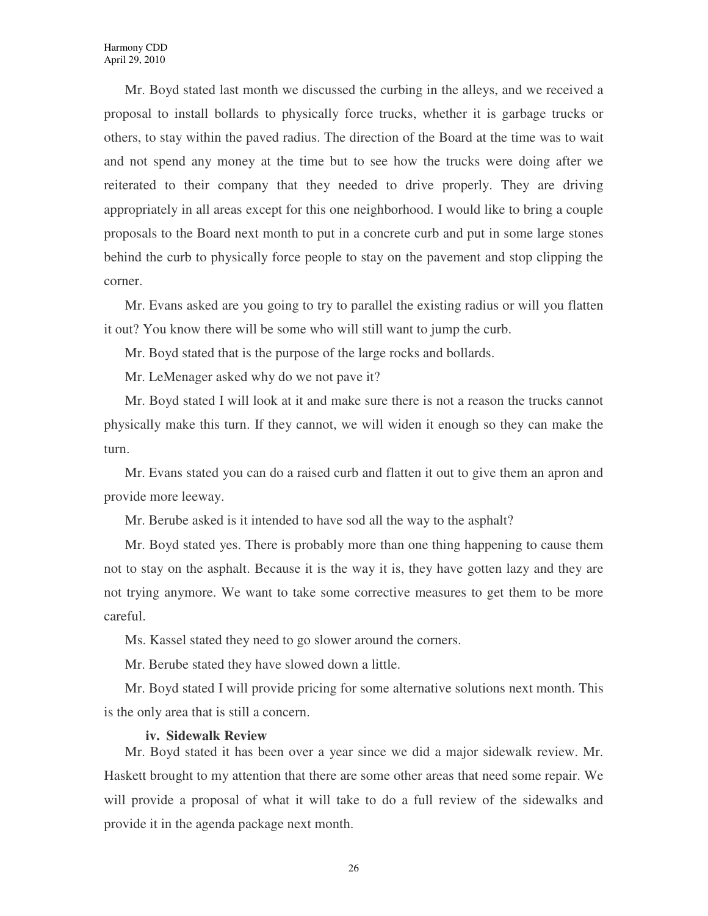Mr. Boyd stated last month we discussed the curbing in the alleys, and we received a proposal to install bollards to physically force trucks, whether it is garbage trucks or others, to stay within the paved radius. The direction of the Board at the time was to wait and not spend any money at the time but to see how the trucks were doing after we reiterated to their company that they needed to drive properly. They are driving appropriately in all areas except for this one neighborhood. I would like to bring a couple proposals to the Board next month to put in a concrete curb and put in some large stones behind the curb to physically force people to stay on the pavement and stop clipping the corner.

Mr. Evans asked are you going to try to parallel the existing radius or will you flatten it out? You know there will be some who will still want to jump the curb.

Mr. Boyd stated that is the purpose of the large rocks and bollards.

Mr. LeMenager asked why do we not pave it?

Mr. Boyd stated I will look at it and make sure there is not a reason the trucks cannot physically make this turn. If they cannot, we will widen it enough so they can make the turn.

Mr. Evans stated you can do a raised curb and flatten it out to give them an apron and provide more leeway.

Mr. Berube asked is it intended to have sod all the way to the asphalt?

Mr. Boyd stated yes. There is probably more than one thing happening to cause them not to stay on the asphalt. Because it is the way it is, they have gotten lazy and they are not trying anymore. We want to take some corrective measures to get them to be more careful.

Ms. Kassel stated they need to go slower around the corners.

Mr. Berube stated they have slowed down a little.

Mr. Boyd stated I will provide pricing for some alternative solutions next month. This is the only area that is still a concern.

#### **iv. Sidewalk Review**

Mr. Boyd stated it has been over a year since we did a major sidewalk review. Mr. Haskett brought to my attention that there are some other areas that need some repair. We will provide a proposal of what it will take to do a full review of the sidewalks and provide it in the agenda package next month.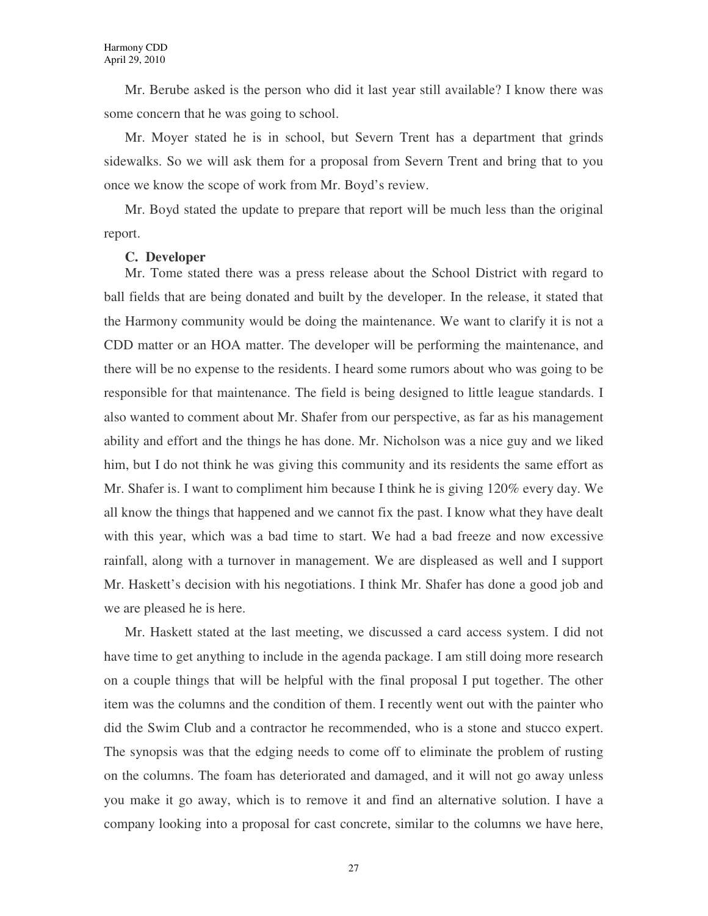Mr. Berube asked is the person who did it last year still available? I know there was some concern that he was going to school.

Mr. Moyer stated he is in school, but Severn Trent has a department that grinds sidewalks. So we will ask them for a proposal from Severn Trent and bring that to you once we know the scope of work from Mr. Boyd's review.

Mr. Boyd stated the update to prepare that report will be much less than the original report.

#### **C. Developer**

Mr. Tome stated there was a press release about the School District with regard to ball fields that are being donated and built by the developer. In the release, it stated that the Harmony community would be doing the maintenance. We want to clarify it is not a CDD matter or an HOA matter. The developer will be performing the maintenance, and there will be no expense to the residents. I heard some rumors about who was going to be responsible for that maintenance. The field is being designed to little league standards. I also wanted to comment about Mr. Shafer from our perspective, as far as his management ability and effort and the things he has done. Mr. Nicholson was a nice guy and we liked him, but I do not think he was giving this community and its residents the same effort as Mr. Shafer is. I want to compliment him because I think he is giving 120% every day. We all know the things that happened and we cannot fix the past. I know what they have dealt with this year, which was a bad time to start. We had a bad freeze and now excessive rainfall, along with a turnover in management. We are displeased as well and I support Mr. Haskett's decision with his negotiations. I think Mr. Shafer has done a good job and we are pleased he is here.

Mr. Haskett stated at the last meeting, we discussed a card access system. I did not have time to get anything to include in the agenda package. I am still doing more research on a couple things that will be helpful with the final proposal I put together. The other item was the columns and the condition of them. I recently went out with the painter who did the Swim Club and a contractor he recommended, who is a stone and stucco expert. The synopsis was that the edging needs to come off to eliminate the problem of rusting on the columns. The foam has deteriorated and damaged, and it will not go away unless you make it go away, which is to remove it and find an alternative solution. I have a company looking into a proposal for cast concrete, similar to the columns we have here,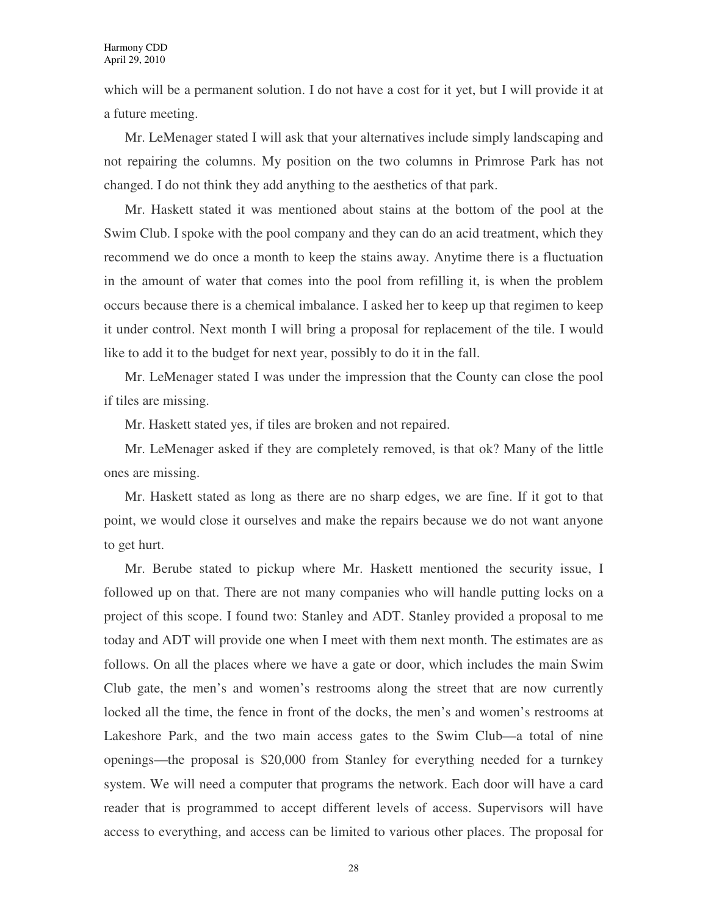which will be a permanent solution. I do not have a cost for it yet, but I will provide it at a future meeting.

Mr. LeMenager stated I will ask that your alternatives include simply landscaping and not repairing the columns. My position on the two columns in Primrose Park has not changed. I do not think they add anything to the aesthetics of that park.

Mr. Haskett stated it was mentioned about stains at the bottom of the pool at the Swim Club. I spoke with the pool company and they can do an acid treatment, which they recommend we do once a month to keep the stains away. Anytime there is a fluctuation in the amount of water that comes into the pool from refilling it, is when the problem occurs because there is a chemical imbalance. I asked her to keep up that regimen to keep it under control. Next month I will bring a proposal for replacement of the tile. I would like to add it to the budget for next year, possibly to do it in the fall.

Mr. LeMenager stated I was under the impression that the County can close the pool if tiles are missing.

Mr. Haskett stated yes, if tiles are broken and not repaired.

Mr. LeMenager asked if they are completely removed, is that ok? Many of the little ones are missing.

Mr. Haskett stated as long as there are no sharp edges, we are fine. If it got to that point, we would close it ourselves and make the repairs because we do not want anyone to get hurt.

Mr. Berube stated to pickup where Mr. Haskett mentioned the security issue, I followed up on that. There are not many companies who will handle putting locks on a project of this scope. I found two: Stanley and ADT. Stanley provided a proposal to me today and ADT will provide one when I meet with them next month. The estimates are as follows. On all the places where we have a gate or door, which includes the main Swim Club gate, the men's and women's restrooms along the street that are now currently locked all the time, the fence in front of the docks, the men's and women's restrooms at Lakeshore Park, and the two main access gates to the Swim Club—a total of nine openings—the proposal is \$20,000 from Stanley for everything needed for a turnkey system. We will need a computer that programs the network. Each door will have a card reader that is programmed to accept different levels of access. Supervisors will have access to everything, and access can be limited to various other places. The proposal for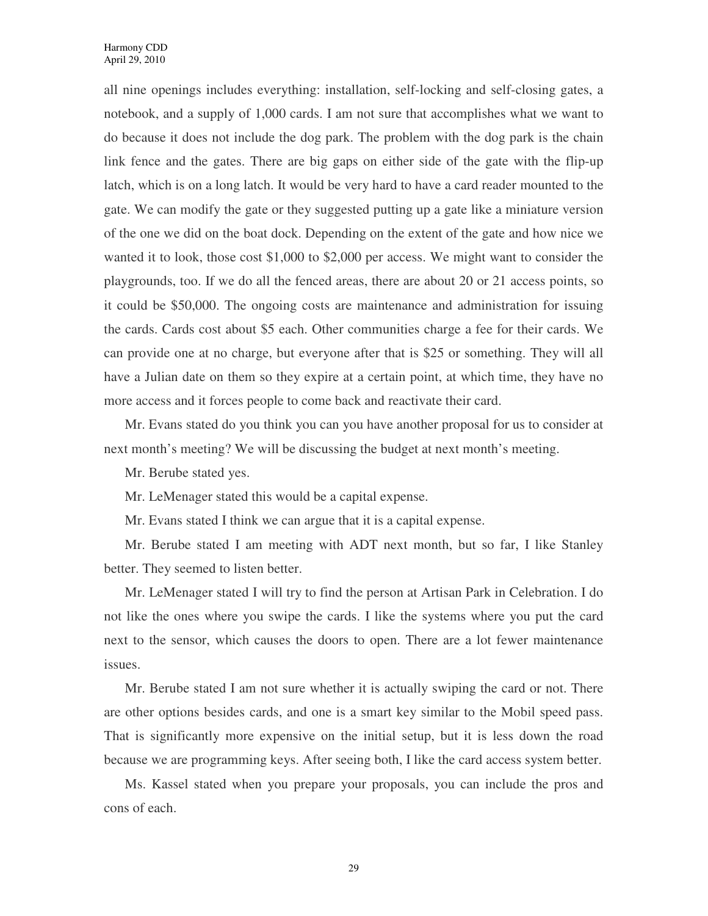all nine openings includes everything: installation, self-locking and self-closing gates, a notebook, and a supply of 1,000 cards. I am not sure that accomplishes what we want to do because it does not include the dog park. The problem with the dog park is the chain link fence and the gates. There are big gaps on either side of the gate with the flip-up latch, which is on a long latch. It would be very hard to have a card reader mounted to the gate. We can modify the gate or they suggested putting up a gate like a miniature version of the one we did on the boat dock. Depending on the extent of the gate and how nice we wanted it to look, those cost \$1,000 to \$2,000 per access. We might want to consider the playgrounds, too. If we do all the fenced areas, there are about 20 or 21 access points, so it could be \$50,000. The ongoing costs are maintenance and administration for issuing the cards. Cards cost about \$5 each. Other communities charge a fee for their cards. We can provide one at no charge, but everyone after that is \$25 or something. They will all have a Julian date on them so they expire at a certain point, at which time, they have no more access and it forces people to come back and reactivate their card.

Mr. Evans stated do you think you can you have another proposal for us to consider at next month's meeting? We will be discussing the budget at next month's meeting.

Mr. Berube stated yes.

Mr. LeMenager stated this would be a capital expense.

Mr. Evans stated I think we can argue that it is a capital expense.

Mr. Berube stated I am meeting with ADT next month, but so far, I like Stanley better. They seemed to listen better.

Mr. LeMenager stated I will try to find the person at Artisan Park in Celebration. I do not like the ones where you swipe the cards. I like the systems where you put the card next to the sensor, which causes the doors to open. There are a lot fewer maintenance issues.

Mr. Berube stated I am not sure whether it is actually swiping the card or not. There are other options besides cards, and one is a smart key similar to the Mobil speed pass. That is significantly more expensive on the initial setup, but it is less down the road because we are programming keys. After seeing both, I like the card access system better.

Ms. Kassel stated when you prepare your proposals, you can include the pros and cons of each.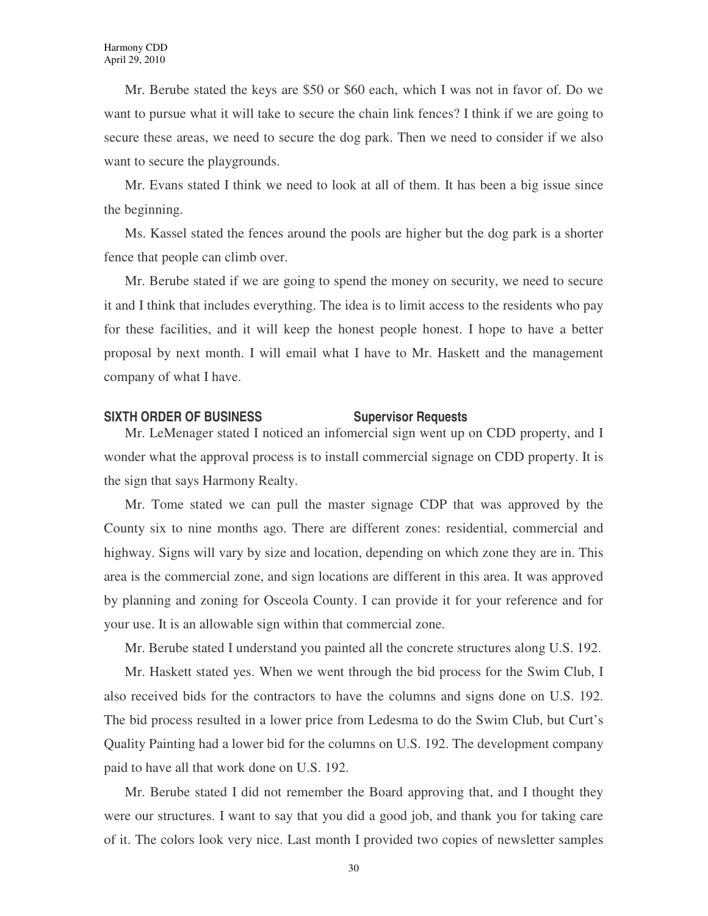Mr. Berube stated the keys are \$50 or \$60 each, which I was not in favor of. Do we want to pursue what it will take to secure the chain link fences? I think if we are going to secure these areas, we need to secure the dog park. Then we need to consider if we also want to secure the playgrounds.

Mr. Evans stated I think we need to look at all of them. It has been a big issue since the beginning.

Ms. Kassel stated the fences around the pools are higher but the dog park is a shorter fence that people can climb over.

Mr. Berube stated if we are going to spend the money on security, we need to secure it and I think that includes everything. The idea is to limit access to the residents who pay for these facilities, and it will keep the honest people honest. I hope to have a better proposal by next month. I will email what I have to Mr. Haskett and the management company of what I have.

#### **SIXTH ORDER OF BUSINESS SUPERVISOR Requests**

Mr. LeMenager stated I noticed an infomercial sign went up on CDD property, and I wonder what the approval process is to install commercial signage on CDD property. It is the sign that says Harmony Realty.

Mr. Tome stated we can pull the master signage CDP that was approved by the County six to nine months ago. There are different zones: residential, commercial and highway. Signs will vary by size and location, depending on which zone they are in. This area is the commercial zone, and sign locations are different in this area. It was approved by planning and zoning for Osceola County. I can provide it for your reference and for your use. It is an allowable sign within that commercial zone.

Mr. Berube stated I understand you painted all the concrete structures along U.S. 192.

Mr. Haskett stated yes. When we went through the bid process for the Swim Club, I also received bids for the contractors to have the columns and signs done on U.S. 192. The bid process resulted in a lower price from Ledesma to do the Swim Club, but Curt's Quality Painting had a lower bid for the columns on U.S. 192. The development company paid to have all that work done on U.S. 192.

Mr. Berube stated I did not remember the Board approving that, and I thought they were our structures. I want to say that you did a good job, and thank you for taking care of it. The colors look very nice. Last month I provided two copies of newsletter samples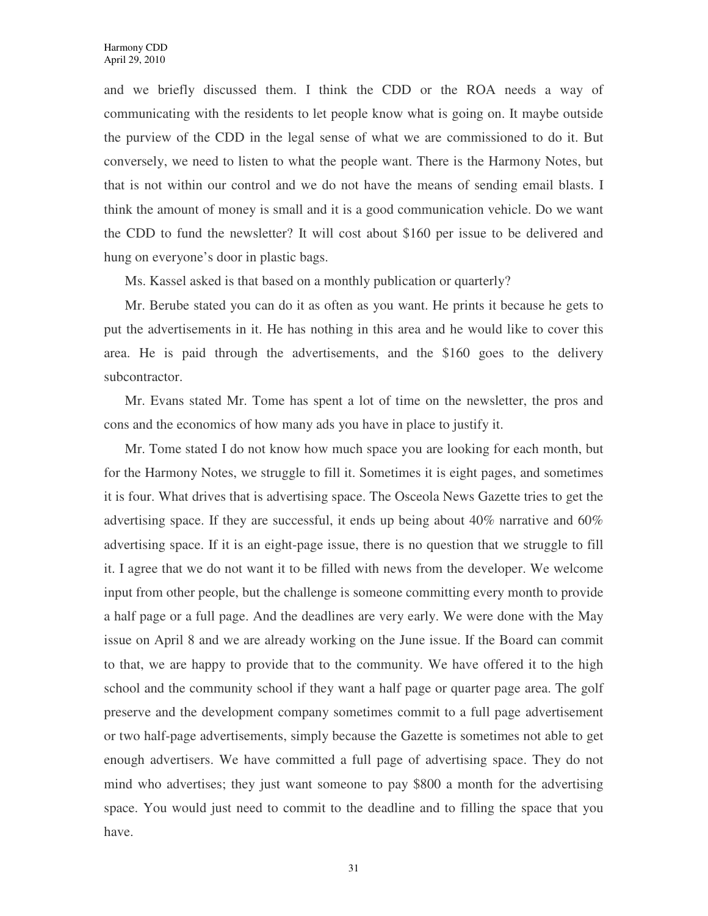and we briefly discussed them. I think the CDD or the ROA needs a way of communicating with the residents to let people know what is going on. It maybe outside the purview of the CDD in the legal sense of what we are commissioned to do it. But conversely, we need to listen to what the people want. There is the Harmony Notes, but that is not within our control and we do not have the means of sending email blasts. I think the amount of money is small and it is a good communication vehicle. Do we want the CDD to fund the newsletter? It will cost about \$160 per issue to be delivered and hung on everyone's door in plastic bags.

Ms. Kassel asked is that based on a monthly publication or quarterly?

Mr. Berube stated you can do it as often as you want. He prints it because he gets to put the advertisements in it. He has nothing in this area and he would like to cover this area. He is paid through the advertisements, and the \$160 goes to the delivery subcontractor.

Mr. Evans stated Mr. Tome has spent a lot of time on the newsletter, the pros and cons and the economics of how many ads you have in place to justify it.

Mr. Tome stated I do not know how much space you are looking for each month, but for the Harmony Notes, we struggle to fill it. Sometimes it is eight pages, and sometimes it is four. What drives that is advertising space. The Osceola News Gazette tries to get the advertising space. If they are successful, it ends up being about  $40\%$  narrative and  $60\%$ advertising space. If it is an eight-page issue, there is no question that we struggle to fill it. I agree that we do not want it to be filled with news from the developer. We welcome input from other people, but the challenge is someone committing every month to provide a half page or a full page. And the deadlines are very early. We were done with the May issue on April 8 and we are already working on the June issue. If the Board can commit to that, we are happy to provide that to the community. We have offered it to the high school and the community school if they want a half page or quarter page area. The golf preserve and the development company sometimes commit to a full page advertisement or two half-page advertisements, simply because the Gazette is sometimes not able to get enough advertisers. We have committed a full page of advertising space. They do not mind who advertises; they just want someone to pay \$800 a month for the advertising space. You would just need to commit to the deadline and to filling the space that you have.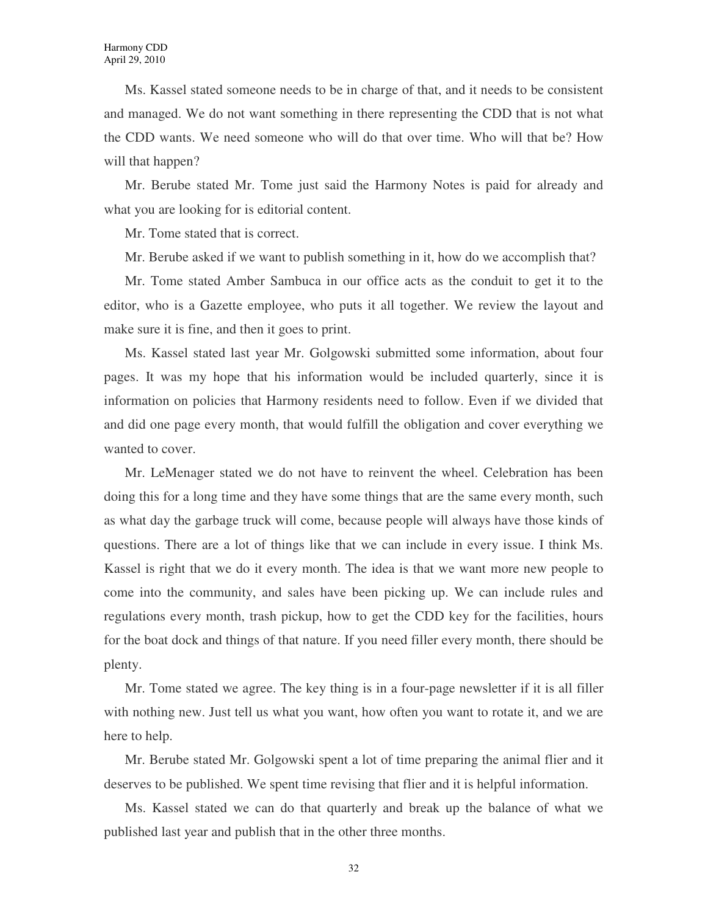Ms. Kassel stated someone needs to be in charge of that, and it needs to be consistent and managed. We do not want something in there representing the CDD that is not what the CDD wants. We need someone who will do that over time. Who will that be? How will that happen?

Mr. Berube stated Mr. Tome just said the Harmony Notes is paid for already and what you are looking for is editorial content.

Mr. Tome stated that is correct.

Mr. Berube asked if we want to publish something in it, how do we accomplish that?

Mr. Tome stated Amber Sambuca in our office acts as the conduit to get it to the editor, who is a Gazette employee, who puts it all together. We review the layout and make sure it is fine, and then it goes to print.

Ms. Kassel stated last year Mr. Golgowski submitted some information, about four pages. It was my hope that his information would be included quarterly, since it is information on policies that Harmony residents need to follow. Even if we divided that and did one page every month, that would fulfill the obligation and cover everything we wanted to cover.

Mr. LeMenager stated we do not have to reinvent the wheel. Celebration has been doing this for a long time and they have some things that are the same every month, such as what day the garbage truck will come, because people will always have those kinds of questions. There are a lot of things like that we can include in every issue. I think Ms. Kassel is right that we do it every month. The idea is that we want more new people to come into the community, and sales have been picking up. We can include rules and regulations every month, trash pickup, how to get the CDD key for the facilities, hours for the boat dock and things of that nature. If you need filler every month, there should be plenty.

Mr. Tome stated we agree. The key thing is in a four-page newsletter if it is all filler with nothing new. Just tell us what you want, how often you want to rotate it, and we are here to help.

Mr. Berube stated Mr. Golgowski spent a lot of time preparing the animal flier and it deserves to be published. We spent time revising that flier and it is helpful information.

Ms. Kassel stated we can do that quarterly and break up the balance of what we published last year and publish that in the other three months.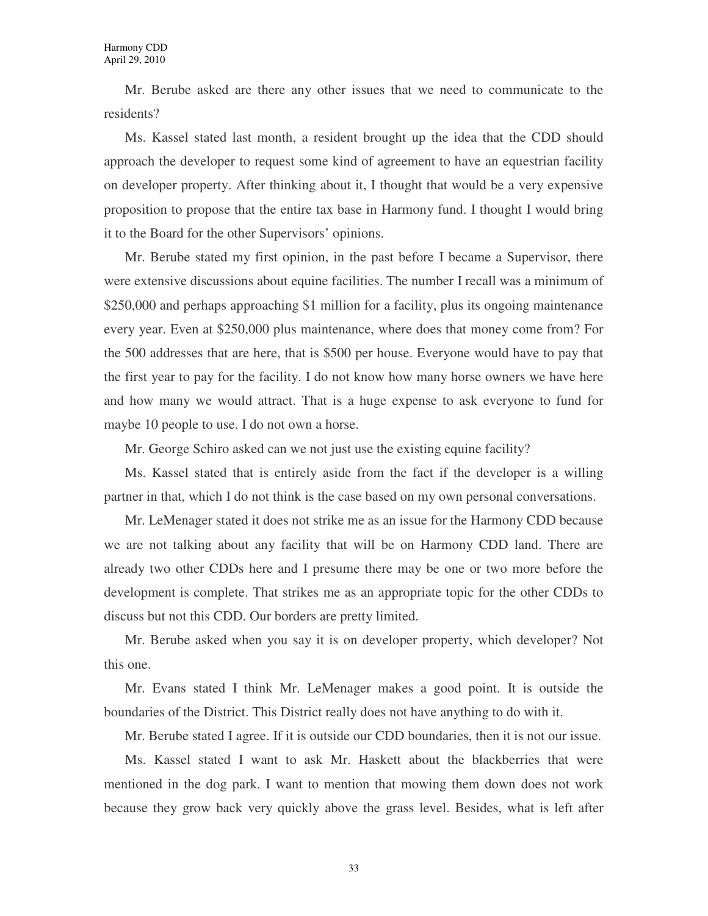Mr. Berube asked are there any other issues that we need to communicate to the residents?

Ms. Kassel stated last month, a resident brought up the idea that the CDD should approach the developer to request some kind of agreement to have an equestrian facility on developer property. After thinking about it, I thought that would be a very expensive proposition to propose that the entire tax base in Harmony fund. I thought I would bring it to the Board for the other Supervisors' opinions.

Mr. Berube stated my first opinion, in the past before I became a Supervisor, there were extensive discussions about equine facilities. The number I recall was a minimum of \$250,000 and perhaps approaching \$1 million for a facility, plus its ongoing maintenance every year. Even at \$250,000 plus maintenance, where does that money come from? For the 500 addresses that are here, that is \$500 per house. Everyone would have to pay that the first year to pay for the facility. I do not know how many horse owners we have here and how many we would attract. That is a huge expense to ask everyone to fund for maybe 10 people to use. I do not own a horse.

Mr. George Schiro asked can we not just use the existing equine facility?

Ms. Kassel stated that is entirely aside from the fact if the developer is a willing partner in that, which I do not think is the case based on my own personal conversations.

Mr. LeMenager stated it does not strike me as an issue for the Harmony CDD because we are not talking about any facility that will be on Harmony CDD land. There are already two other CDDs here and I presume there may be one or two more before the development is complete. That strikes me as an appropriate topic for the other CDDs to discuss but not this CDD. Our borders are pretty limited.

Mr. Berube asked when you say it is on developer property, which developer? Not this one.

Mr. Evans stated I think Mr. LeMenager makes a good point. It is outside the boundaries of the District. This District really does not have anything to do with it.

Mr. Berube stated I agree. If it is outside our CDD boundaries, then it is not our issue.

Ms. Kassel stated I want to ask Mr. Haskett about the blackberries that were mentioned in the dog park. I want to mention that mowing them down does not work because they grow back very quickly above the grass level. Besides, what is left after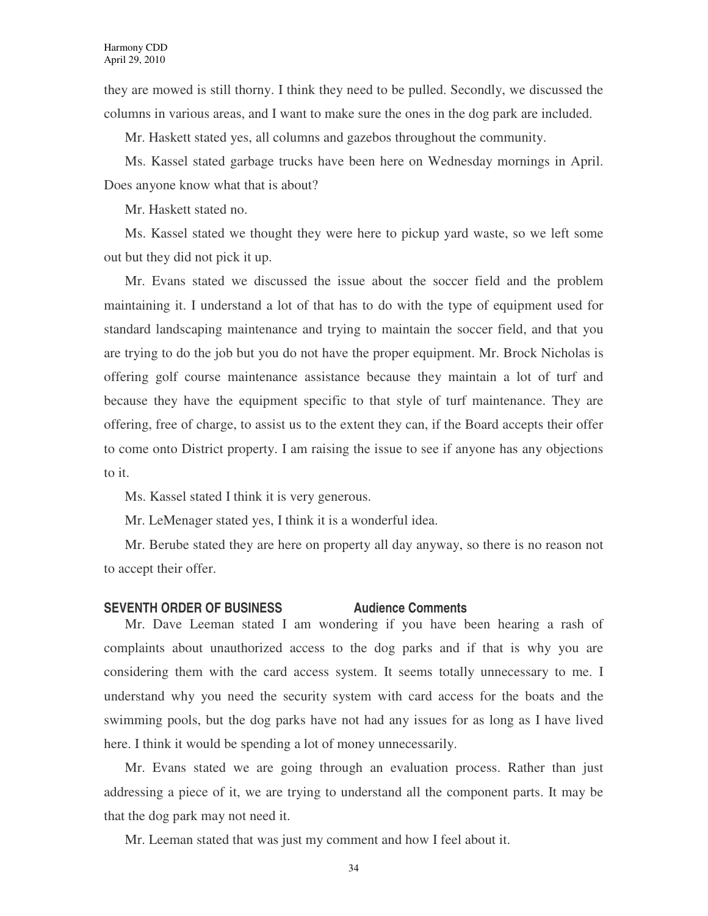they are mowed is still thorny. I think they need to be pulled. Secondly, we discussed the columns in various areas, and I want to make sure the ones in the dog park are included.

Mr. Haskett stated yes, all columns and gazebos throughout the community.

Ms. Kassel stated garbage trucks have been here on Wednesday mornings in April. Does anyone know what that is about?

Mr. Haskett stated no.

Ms. Kassel stated we thought they were here to pickup yard waste, so we left some out but they did not pick it up.

Mr. Evans stated we discussed the issue about the soccer field and the problem maintaining it. I understand a lot of that has to do with the type of equipment used for standard landscaping maintenance and trying to maintain the soccer field, and that you are trying to do the job but you do not have the proper equipment. Mr. Brock Nicholas is offering golf course maintenance assistance because they maintain a lot of turf and because they have the equipment specific to that style of turf maintenance. They are offering, free of charge, to assist us to the extent they can, if the Board accepts their offer to come onto District property. I am raising the issue to see if anyone has any objections to it.

Ms. Kassel stated I think it is very generous.

Mr. LeMenager stated yes, I think it is a wonderful idea.

Mr. Berube stated they are here on property all day anyway, so there is no reason not to accept their offer.

#### **SEVENTH ORDER OF BUSINESS Audience Comments**

Mr. Dave Leeman stated I am wondering if you have been hearing a rash of complaints about unauthorized access to the dog parks and if that is why you are considering them with the card access system. It seems totally unnecessary to me. I understand why you need the security system with card access for the boats and the swimming pools, but the dog parks have not had any issues for as long as I have lived here. I think it would be spending a lot of money unnecessarily.

Mr. Evans stated we are going through an evaluation process. Rather than just addressing a piece of it, we are trying to understand all the component parts. It may be that the dog park may not need it.

Mr. Leeman stated that was just my comment and how I feel about it.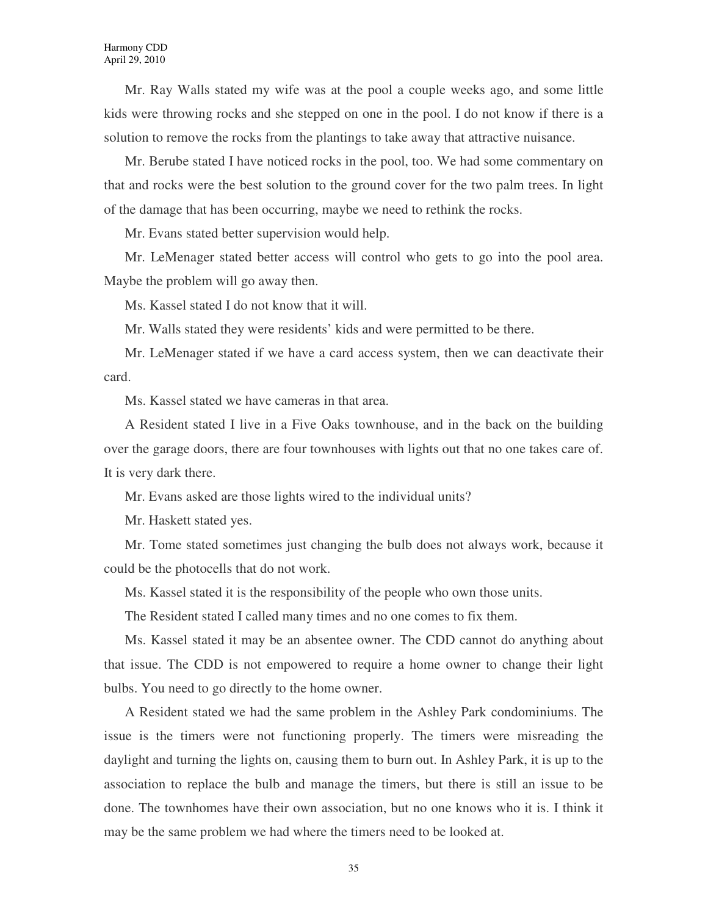Mr. Ray Walls stated my wife was at the pool a couple weeks ago, and some little kids were throwing rocks and she stepped on one in the pool. I do not know if there is a solution to remove the rocks from the plantings to take away that attractive nuisance.

Mr. Berube stated I have noticed rocks in the pool, too. We had some commentary on that and rocks were the best solution to the ground cover for the two palm trees. In light of the damage that has been occurring, maybe we need to rethink the rocks.

Mr. Evans stated better supervision would help.

Mr. LeMenager stated better access will control who gets to go into the pool area. Maybe the problem will go away then.

Ms. Kassel stated I do not know that it will.

Mr. Walls stated they were residents' kids and were permitted to be there.

Mr. LeMenager stated if we have a card access system, then we can deactivate their card.

Ms. Kassel stated we have cameras in that area.

A Resident stated I live in a Five Oaks townhouse, and in the back on the building over the garage doors, there are four townhouses with lights out that no one takes care of. It is very dark there.

Mr. Evans asked are those lights wired to the individual units?

Mr. Haskett stated yes.

Mr. Tome stated sometimes just changing the bulb does not always work, because it could be the photocells that do not work.

Ms. Kassel stated it is the responsibility of the people who own those units.

The Resident stated I called many times and no one comes to fix them.

Ms. Kassel stated it may be an absentee owner. The CDD cannot do anything about that issue. The CDD is not empowered to require a home owner to change their light bulbs. You need to go directly to the home owner.

A Resident stated we had the same problem in the Ashley Park condominiums. The issue is the timers were not functioning properly. The timers were misreading the daylight and turning the lights on, causing them to burn out. In Ashley Park, it is up to the association to replace the bulb and manage the timers, but there is still an issue to be done. The townhomes have their own association, but no one knows who it is. I think it may be the same problem we had where the timers need to be looked at.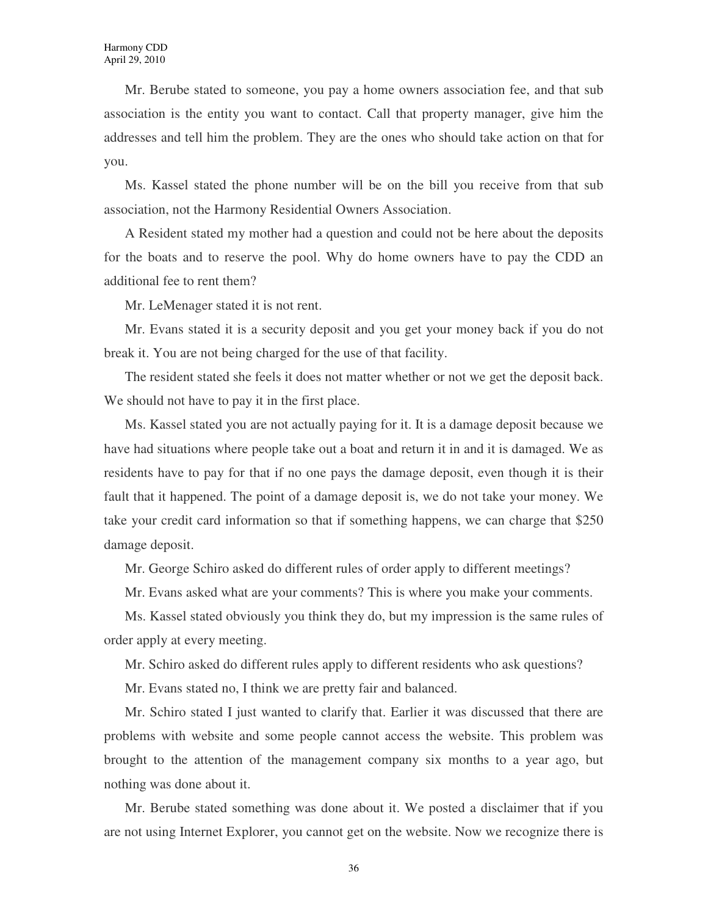Mr. Berube stated to someone, you pay a home owners association fee, and that sub association is the entity you want to contact. Call that property manager, give him the addresses and tell him the problem. They are the ones who should take action on that for you.

Ms. Kassel stated the phone number will be on the bill you receive from that sub association, not the Harmony Residential Owners Association.

A Resident stated my mother had a question and could not be here about the deposits for the boats and to reserve the pool. Why do home owners have to pay the CDD an additional fee to rent them?

Mr. LeMenager stated it is not rent.

Mr. Evans stated it is a security deposit and you get your money back if you do not break it. You are not being charged for the use of that facility.

The resident stated she feels it does not matter whether or not we get the deposit back. We should not have to pay it in the first place.

Ms. Kassel stated you are not actually paying for it. It is a damage deposit because we have had situations where people take out a boat and return it in and it is damaged. We as residents have to pay for that if no one pays the damage deposit, even though it is their fault that it happened. The point of a damage deposit is, we do not take your money. We take your credit card information so that if something happens, we can charge that \$250 damage deposit.

Mr. George Schiro asked do different rules of order apply to different meetings?

Mr. Evans asked what are your comments? This is where you make your comments.

Ms. Kassel stated obviously you think they do, but my impression is the same rules of order apply at every meeting.

Mr. Schiro asked do different rules apply to different residents who ask questions?

Mr. Evans stated no, I think we are pretty fair and balanced.

Mr. Schiro stated I just wanted to clarify that. Earlier it was discussed that there are problems with website and some people cannot access the website. This problem was brought to the attention of the management company six months to a year ago, but nothing was done about it.

Mr. Berube stated something was done about it. We posted a disclaimer that if you are not using Internet Explorer, you cannot get on the website. Now we recognize there is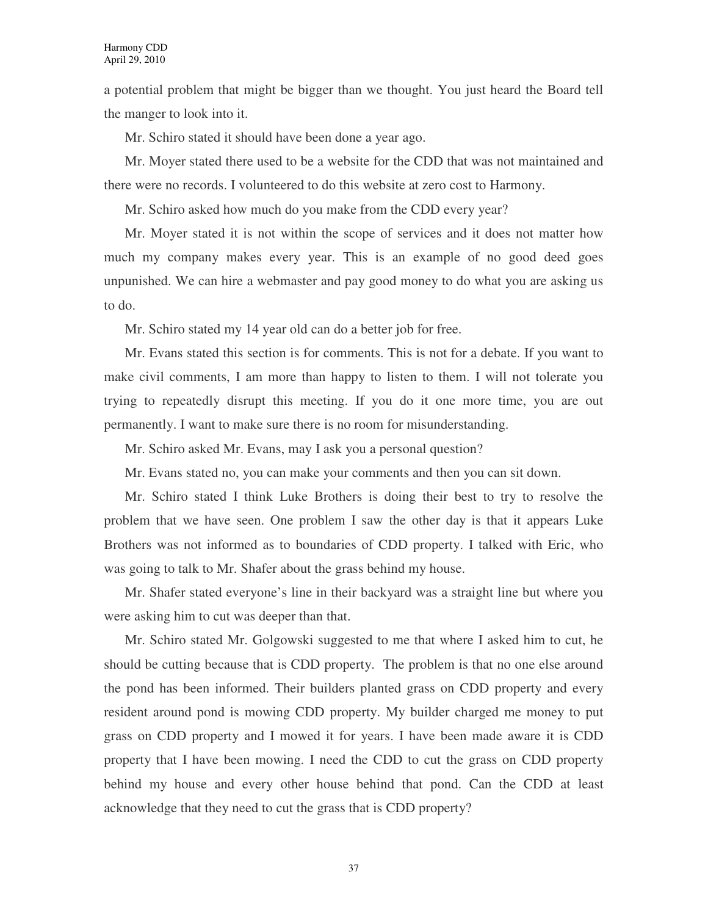a potential problem that might be bigger than we thought. You just heard the Board tell the manger to look into it.

Mr. Schiro stated it should have been done a year ago.

Mr. Moyer stated there used to be a website for the CDD that was not maintained and there were no records. I volunteered to do this website at zero cost to Harmony.

Mr. Schiro asked how much do you make from the CDD every year?

Mr. Moyer stated it is not within the scope of services and it does not matter how much my company makes every year. This is an example of no good deed goes unpunished. We can hire a webmaster and pay good money to do what you are asking us to do.

Mr. Schiro stated my 14 year old can do a better job for free.

Mr. Evans stated this section is for comments. This is not for a debate. If you want to make civil comments, I am more than happy to listen to them. I will not tolerate you trying to repeatedly disrupt this meeting. If you do it one more time, you are out permanently. I want to make sure there is no room for misunderstanding.

Mr. Schiro asked Mr. Evans, may I ask you a personal question?

Mr. Evans stated no, you can make your comments and then you can sit down.

Mr. Schiro stated I think Luke Brothers is doing their best to try to resolve the problem that we have seen. One problem I saw the other day is that it appears Luke Brothers was not informed as to boundaries of CDD property. I talked with Eric, who was going to talk to Mr. Shafer about the grass behind my house.

Mr. Shafer stated everyone's line in their backyard was a straight line but where you were asking him to cut was deeper than that.

Mr. Schiro stated Mr. Golgowski suggested to me that where I asked him to cut, he should be cutting because that is CDD property. The problem is that no one else around the pond has been informed. Their builders planted grass on CDD property and every resident around pond is mowing CDD property. My builder charged me money to put grass on CDD property and I mowed it for years. I have been made aware it is CDD property that I have been mowing. I need the CDD to cut the grass on CDD property behind my house and every other house behind that pond. Can the CDD at least acknowledge that they need to cut the grass that is CDD property?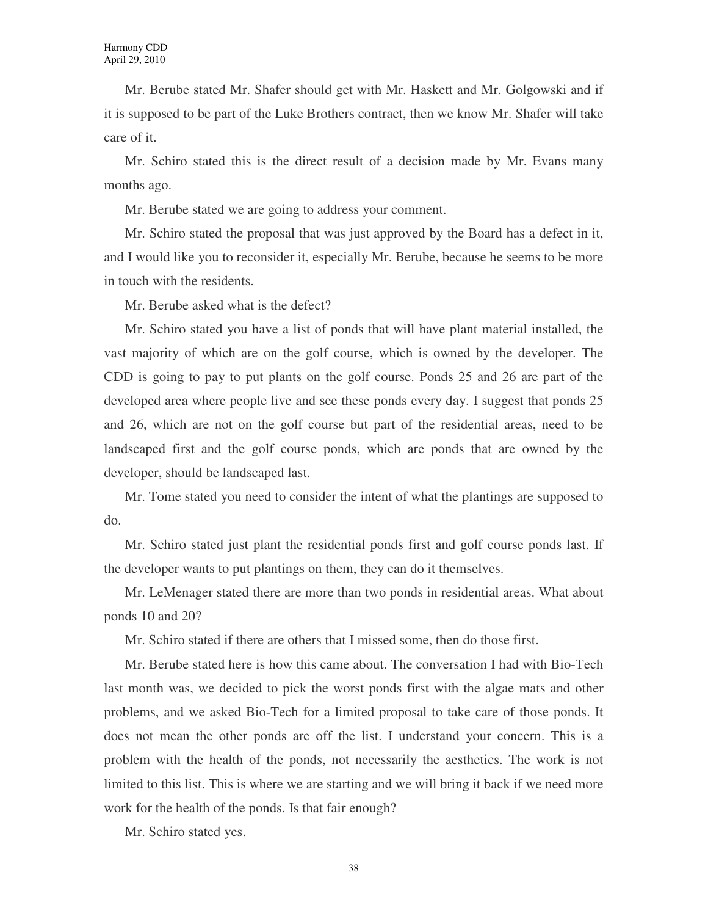Mr. Berube stated Mr. Shafer should get with Mr. Haskett and Mr. Golgowski and if it is supposed to be part of the Luke Brothers contract, then we know Mr. Shafer will take care of it.

Mr. Schiro stated this is the direct result of a decision made by Mr. Evans many months ago.

Mr. Berube stated we are going to address your comment.

Mr. Schiro stated the proposal that was just approved by the Board has a defect in it, and I would like you to reconsider it, especially Mr. Berube, because he seems to be more in touch with the residents.

Mr. Berube asked what is the defect?

Mr. Schiro stated you have a list of ponds that will have plant material installed, the vast majority of which are on the golf course, which is owned by the developer. The CDD is going to pay to put plants on the golf course. Ponds 25 and 26 are part of the developed area where people live and see these ponds every day. I suggest that ponds 25 and 26, which are not on the golf course but part of the residential areas, need to be landscaped first and the golf course ponds, which are ponds that are owned by the developer, should be landscaped last.

Mr. Tome stated you need to consider the intent of what the plantings are supposed to do.

Mr. Schiro stated just plant the residential ponds first and golf course ponds last. If the developer wants to put plantings on them, they can do it themselves.

Mr. LeMenager stated there are more than two ponds in residential areas. What about ponds 10 and 20?

Mr. Schiro stated if there are others that I missed some, then do those first.

Mr. Berube stated here is how this came about. The conversation I had with Bio-Tech last month was, we decided to pick the worst ponds first with the algae mats and other problems, and we asked Bio-Tech for a limited proposal to take care of those ponds. It does not mean the other ponds are off the list. I understand your concern. This is a problem with the health of the ponds, not necessarily the aesthetics. The work is not limited to this list. This is where we are starting and we will bring it back if we need more work for the health of the ponds. Is that fair enough?

Mr. Schiro stated yes.